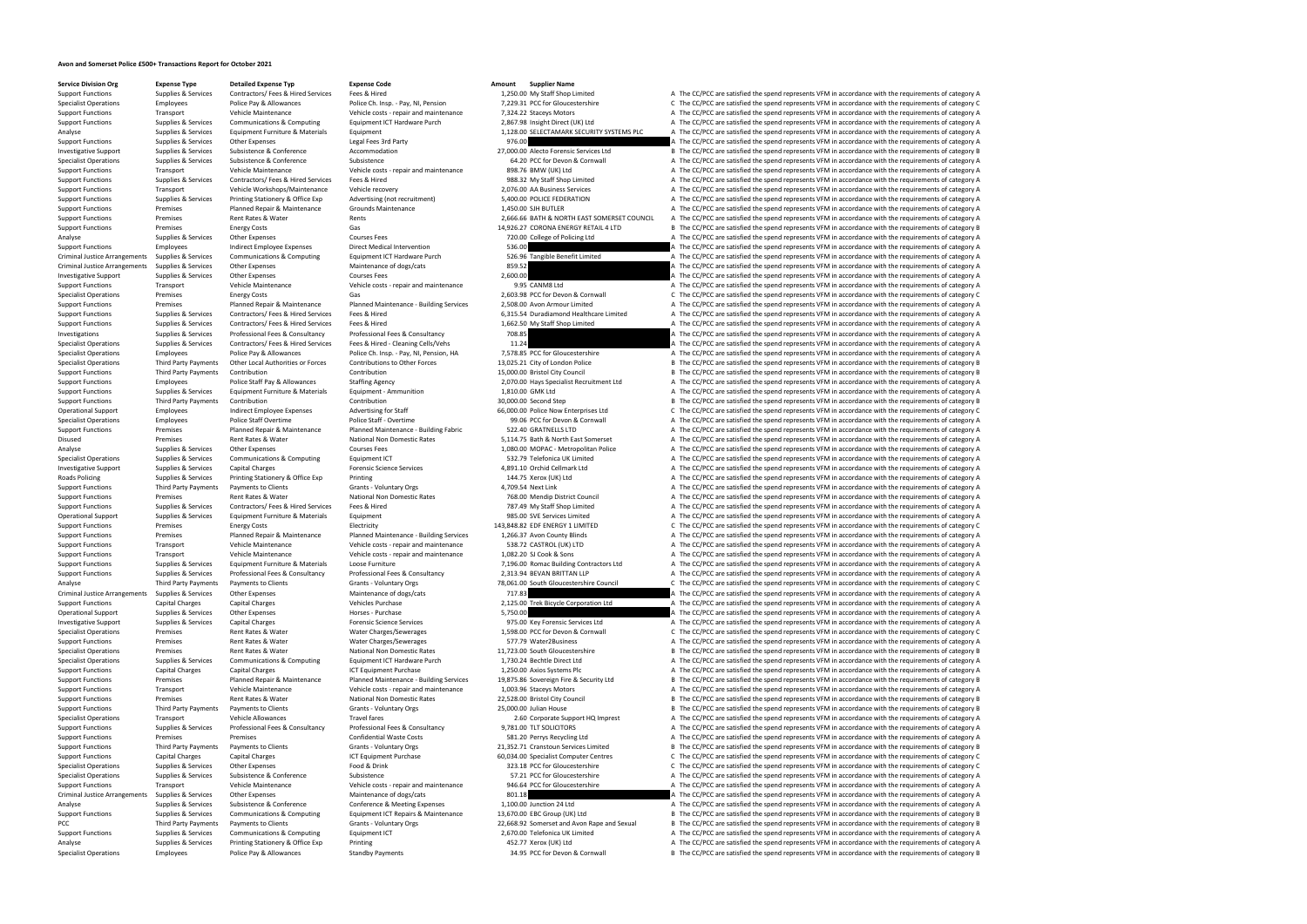## **Avon and Somerset Police £500+ Transactions Report for October 2021**

**Service Division Org Expense Type Detailed Expense Typ Expense Code Amount Supplier Name**<br>
Support Functions Supplier & Services Contractors/ Fees & Hired Services Fees & Hired **Amount** 1,250,00 My Staff Shop Li

Support Functions Supplies & Services Contractors/ Fees & Hired Services Fees & Hired Hired 1,250.00 My Staff Shop Limited A The CC/PCC are satisfied the spend represents VFM in accordance with the requirements of category Specialist Operations Employees Police Pay & Allowances Police Ch. Insp. - Pay, NJ. Pension 7.229.31 PCC for Gloucestershire C. The CC/PCC are satisfied the spend represents VFM in accordance with the requirements of categ Support Functions Transport Vehicle Maintenance Vehicle costs - repair and maintenance 7,324.22 Staceys Motors A The CC/PCC are satisfied the spend represents VFM in accordance with the requirements of category A Support F Support Functions Supplies & Services Communications & Computing Equipment ICT Hardware Purch 2,867.98 Insight Direct (UK) Ltd A The CC/PCC are satisfied the spend represents VFM in accordance with the requirements of cate Analyse Supplies & Services Equipment Furniture & Materials Equipment Equipment 1,128.00 SELECTAMARK SECURITY SYSTEMS PLC A The CC/PCC are satisfied the spend represents VFM in accordance with the requirements of category Support Functions Supplies & Services Other Expenses Legal Fees 3rd Party 976.00 A The CC/PCC are satisfied the spend represents VFM in accordance with the requirements of category A Investigative Support Supplies & Servic Investigative Support Supplies & Services Subsistence Accommodation Accommodation Accommodation 27,000.00 Alecto Forensic Services Ltd B The CC/PCC are satisfied the spend represents VFM in accordance with the requirements Supplies & Services Subsistence Subsistence Subsistence Subsistence Subsistence Subsistence Subsistence Subsistence Subsistence Subsistence Subsistence Subsistence Subsistence Subsistence Subsistence Subsistence Subsistenc Support Functions Transport Vehicle Maintenance Vehicle costs - repair and maintenance 898.76 BMW (UK) Ltd A The CC/PCC are satisfied the spend represents VFM in accordance with the requirements of category A Support Functions Supplies & Services Contractors/ Fees & Hired Services Fees & Hired 988.32 My Staff Shop Limited A The CC/PCC are satisfied the spend represents VFM in accordance with the requirements of category A Support Functions Transport Vehicle Workshops/Maintenance Vehicle recovery 2,076.00 AA Business Services A The CC/PCC are satisfied the spend represents VFM in accordance with the requirements of category A Support Functions Supplies & Services Printing Stationery & Office Exp Advertising (not recruitment) 5,400.00 POLICE FEDERATION A The CC/PCC are satisfied the spend represents VFM in accordance with the requirements of cat Support Functions Premises Planned Repair & Maintenance Grounds Maintenance Grounds Maintenance 1,450.00 SJH BUTLER A The CC/PCC are satisfied the spend represents VFM in accordance with the requirements of category A The Support Functions Premises Premises Rent Rates & Water Rents Rents Rents Rents 2,666.66 BATH & NORTH EAST SOMERSET COUNCIL A The CC/PCC are satisfied the spend represents VFM in accordance with the requirements of category Support Functions Premises Energy Costs Energy Costs Gas Gas Support Energy Costs Gas Courses Fees 14,926.27 CORONA ENERGY RETAIL 4 LTD B The CC/PCC are satisfied the spend represents VFM in accordance with the requirement Analyse Supplies & Services Other Expenses Courses Fees Courses Fees 720.00 College of Policing Ltd A The CC/PCC are satisfied the spend represents VFM in accordance with the requirements of category A Support Function Sat Support Functions Employees Indirect Employee Expenses Direct Medical Intervention 536.00 A The CC/PCC are satisfied the spend represents VFM in accordance with the requirements of category A Criminal Justice Arrangements Supplies & Services Communications & Computing Equipment ICT Hardware Purch 526.96 Tangible Benefit Limited A The CC/PCC are satisfied the spend represents VFM in accordance with the requireme Criminal Justice Arrangements of Criminal Arrangements of Criminal Arrangements of the CC/PCC are satisfied the spend represents VFM in accordance with the requirements of category A Investigative Support Supplies & Services Other Expenses Courses Fees Courses Fees 2,600.00 A The CC/PCC are satisfied the spend represents VFM in accordance with the requirements of category A Support Transport Vehicle Ma Support Functions Transport Vehicle Maintenance Vehicle Costs - repair and maintenance 9.95 CANM8 Ltd A The CC/PCC are satisfied the spend represents VFM in accordance with the requirements of category A Specialist Operati Specialist Operations Specialist Operations Premises Energy Costs Gas Special Cas Costs Gas 2,603.98 PCC for Devon & Cornwall C The CC/PCC are satisfied the spend represents VFM in accordance with the requirements of categ Planned Repair & Maintenance Maintenance - Building Services 2,508.00 Avon Armour Limited All The CC/PCC are satisfied the spend represents VFM in accordance with the requirements of category A Support Functions Supplies & Services Contractors/ Fees & Hired Services Fees & Hired Services Fees & Hired Services Fees & Hired 6,315.54 Duradiamond Healthcare Limited A The CC/PCC are satisfied the spend represents VFM Support Functions Supplies & Services Contractors/ Fees & Hired Services Fees & Hired 1,662.50 My Staff Shop Limited A The CC/PCC are satisfied the spend represents VFM in accordance with the requirements of category A Investigations Supplies & Services Professional Fees & Consultancy Professional Fees & Consultancy Professional Fees & Consultancy 708.85 Specialist Operations Supplies & Services Contractors/ Fees & Hired - Cleaning Cells/Vehs 11.24 A The CC/PCC are satisfied the spend represents VFM in accordance with the requirements of category A The Contractors of categ Specialist Operations Employees Employees Police Pay & Allowances Police Ch. Insp. - Pay, NI, Pension, HA 7,578.85 PCC for Gloucestershire A The CC/PCC are satisfied the spend represents VFM in accordance with the requirem Specialist Operations Third Party Payments Other Local Authorities or Forces Contributions to Other Forces 13,025.21 City of London Police B The CC/PCC are satisfied the spend represents VFM in accordance with the requirem Support Functions Third Party Payments Contribution Contribution Contribution Contribution Contribution Contribution Contribution Contribution and the Support Europe of Contribution and the Support Functions Europe Europe Support Functions Employees Police Staff Pay & Allowances Staffing Agency Staffing Agency 2,070.00 Hays Specialist Recruitment Ltd A The CC/PCC are satisfied the spend represents VFM in accordance with the requirements of Support Functions Supplies & Services Equipment Furniture & Materials Equipment - Ammunition 1,810.00 GMK Ltd A The CC/PCC are satisfied the spend represents VFM in accordance with the requirements of category A Support Fu Contribution Contribution Contribution 20,000.00 Second Step B The CC/PCC are satisfied the spend represents VFM in accordance with the requirements of category B Operational Support Employees Indirect Employee Expenses Advertising for Staff 66,000.00 Police Now Enterprises Ltd C The CC/PCC are satisfied the spend represents VFM in accordance with the requirements of category C Specialist Operations Employees Police Staff Overtime Police Staff - Overtime Police Staff - Overtime Police Staff - Overtime 99.06 PCC for Devon & Cornwall A The CC/PCC are satisfied the spend represents VFM in accordance Support Functions Premises Planned Repair & Maintenance Planned Maintenance - Building Fabric 522.40 GRATNELLS LTD A The CC/PCC are satisfied the spend represents VFM in accordance with the requirements of category A Disused Premises Rent Rates & Water National Non Domestic Rates 5,114.75 Bath & North East Somerset A The CC/PCC are satisfied the spend represents VFM in accordance with the requirements of category A The A The CC/PCC are Analyse Supplies & Services Other Expenses Courses Fees Courses Fees 1,080.00 MOPAC - Metropolitan Police A The CC/PCC are satisfied the spend represents VFM in accordance with the requirements of category A Specialist Operations Supplies & Services Communications & Computing Equipment ICT 532.79 Telefonica UK Limited A The CC/PCC are satisfied the spend represents VFM in accordance with the requirements of category A Investigative Support Supplies & Services Capital Charges Forensic Science Services Forensic Science Services 4,891.10 Orchid Cellmark Ltd A The CC/PCC are satisfied the spend represents VFM in accordance with the requirem Roads Policing Supplies & Services Printing Stationery & Office Exp Printing Printing 144.75 Xerox (UK) Ltd A The CC/PCC are satisfied the spend represents VFM in accordance with the requirements of category A Support Functions Third Party Payments of Payments to Clients Crants Crants Grants Grants Grants Grants Grants Grants Grants Grants A The CC/PCC are satisfied the spend represents VFM in accordance with the requirements of Support Functions Premises Rent Rates Rent Rates Rates National Non Domestic Rates 768.00 Mendip District Council A The CC/PCC are satisfied the spend represents VFM in accordance with the requirements of category A Support Functions Supplies & Services Contractors/ Fees & Hired Services Fees & Hired The Staff Shop Limited A The CC/PCC are satisfied the spend represents VFM in accordance with the requirements of category A Operational Support Supplies & Services Equipment Furniture & Materials Equipment Equipment and Equipment 985.00 SVE Services Limited A The CC/PCC are satisfied the spend represents VFM in accordance with the requirements Support Functions Premises Energy Costs Energy Costs Electricity Electricity Electricity 143,848.82 EDF ENERGY 1 LIMITED C The CC/PCC are satisfied the spend represents VFM in accordance with the requirements of category C Support Functions Transport Provides Planned Repair & Maintenance Planned Maintenance - Building Services 1,266.37 Avon County Blinds A The CC/PCC are satisfied the spend represents VFM in accordance with the requirements Support Functions Transport Vehicle Maintenance Vehicle costs - repair and maintenance 538.72 CASTROL (UK) LTD A The CC/PCC are satisfied the spend represents VFM in accordance with the requirements of category A Support Functions Transport Vehicle Maintenance Vehicle Costs - repair and maintenance 1,082.20 SJ Cook & Sons A The CC/PCC are satisfied the spend represents VFM in accordance with the requirements of category A The Costs Support Functions Supplies & Services Equipment Furniture & Materials Loose Furniture and Express Loose Furniture 7,196.00 Romac Building Contractors Ltd A The CC/PCC are satisfied the spend represents VFM in accordance wi Support Functions Supplies & Services Professional Fees & Consultancy Professional Fees & Consultancy Professional Fees & Consultancy Professional Fees & Consultancy 231394 REVAN REITTAN U.IP A The CC/PCC are satisfied the Analyse Third Party Payments Payments to Clients Grants - Voluntary Orgs 78,061.00 South Gloucestershire Council C The CC/PCC are satisfied the spend represents VFM in accordance with the requirements of category C Criminal Justice Arrangements Supplies & Services Other Expenses Maintenance of dogs/cats Maintenance of dogs/cats 717.83 A The CC/PCC are satisfied the spend represents VFM in accordance with the requirements of category Support Functions Capital Charges Capital Charges Vehicles Purchase Vehicles Purchase 2,125.00 Trek Bicycle Corporation Ltd A The CC/PCC are satisfied the spend represents VFM in accordance with the requirements of categor Operational Support Supplies & Services Other Expenses Horses - Purchase Horses - Purchase 5,750.00 A The CC/PCC are satisfied the spend represents VFM in accordance with the requirements of category A Investigative Support Supplies & Services Capital Charges Capital Charges Forensic Science Services Forensic Services and A The CC/PCC are satisfied the spend represents VFM in accordance with the requirements of category Premises Rent Rates & Water Water Charges/Sewerages 1,598.00 PCC for Devon & Cornwall C The CC/PCC are satisfied the spend represents VFM in accordance with the requirements of category C Support Functions Premises Rent Rates & Water Water Charges/Sewerages ST7.79 Water2Business A The CC/PCC are satisfied the spend represents VFM in accordance with the requirements of category A Specialist Operations Premises Rent Rates Rent Rates National Non Domestic Rates 11,723.00 South Gloucestershire B The CC/PCC are satisfied the spend represents VFM in accordance with the requirements of category B Specialist Operations Supplies & Services Communications & Computing Equipment ICT Hardware Purch 1,730.24 Bechtle Direct Ltd A The CC/PCC are satisfied the spend represents VFM in accordance with the requirements of categ Support Functions Capital Charges Capital Charges Capital Charges ICT Equipment Purchase 1,250.00 Axios Systems Plc A The CC/PCC are satisfied the spend represents VFM in accordance with the requirements of category A Supp Planned Repair & Maintenance Maintenance - Building Services 19,875.86 Sovereign Fire & Security Ltd B The CC/PCC are satisfied the spend represents VFM in accordance with the requirements of category B Transport Vehicle M Support Functions Transport Vehicle Maintenance Vehicle costs - repair and maintenance 1,003.96 Staceys Motors A The CC/PCC are satisfied the spend represents VFM in accordance with the requirements of category A Support Functions Premises Rent Rates & Water National Non Domestic Rates 22,528.00 Bristol City Council B The CC/PCC are satisfied the spend represents VFM in accordance with the requirements of category B Support Functions Third Party Payments of category B Grants - Voluntary Orgs Grants 25,000.00 Julian House and the CC/PCC are satisfied the spend represents VFM in accordance with the requirements of category B Specialist Specialist Operations Transport Transport Vehicle Allowances Travel fares Travel fares Travel fares 2.60 Corporate Support HQ Imprest A The CC/PCC are satisfied the spend represents VFM in accordance with the requirements Support Functions Supplies & Services Professional Fees & Consultancy Professional Fees & Consultancy Professional Fees & Consultancy Professional Fees & Consultancy Professional Fees & Consultancy 9.781.00 TLT SOLICITORS Support Functions Premises Premises Premises Confidential Waste Costs S81.20 Perrys Recycling Ltd A The CC/PCC are satisfied the spend represents VFM in accordance with the requirements of category A Support Functions Third Party Payments Payments to Clients Grants Grants - Voluntary Orgs 21,352.71 Cranstoun Services Limited B The CC/PCC are satisfied the spend represents VFM in accordance with the requirements of cate Support Functions Capital Charges Capital Charges Capital Charges ICT Equipment Purchase 60,034.00 Specialist Computer Centres C The CC/PCC are satisfied the spend represents VFM in accordance with the requirements of cate Specialist Operations Supplies & Services Other Expenses Food & Drink Food & Drink 323.18 PCC for Gloucestershire C The CC/PCC are satisfied the spend represents VFM in accordance with the requirements of category C Specia Specialist Operations Supplies & Services Subsistence Subsistence Subsistence Subsistence Subsistence Subsistence Subsistence Subsistence Subsistence Subsistence Subsistence Subsistence Subsistence Subsistence Subsistence Transport Vehicle Maintenance Vehicle costs - repair and maintenance 946.64 PCC for Gloucestershire A The CC/PCC are satisfied the spend represents VFM in accordance with the requirements of category A Criminal Justice Arrangements Supplies & Services Other Expenses Maintenance of dogs/cats Maintenance of dogs/cats 801.18 A The CC/PCC are satisfied the spend represents VFM in accordance with the requirements of category Analyse Supplies & Services Subsistence & Conference A Meeting Expenses 1,100.00 Junction 24 Ltd A The CC/PCC are satisfied the spend represents VFM in accordance with the requirements of category A Support Functions Supplies & Services Communications & Computing Faujoment ICT Repairs & Maintenance 13.670.00 FRC Groun (UK) I td Reform B. The CC/PCC are satisfied the spend represents VEM in accordance with the requirem PCC Third Party Payments Payments to Clients Grants - Voluntary Orgs 22,668.92 Somerset and Avon Rape and Sexual B The CC/PCC are satisfied the spend represents VFM in accordance with the requirements of category B Support Functions Supplies & Services Communications & Computing Equipment ICT 2,670.00 Telefonica UK Limited A The CC/PCC are satisfied the spend represents VFM in accordance with the requirements of category A Analyse Supplies & Services Printing Stationery & Office Exp Printing Printing A The CELLY A The CC/PCC are satisfied the spend represents VFM in accordance with the requirements of category A Specialist Operations Employees Police Pay & Allowances Standby Payments Standby Payments 34.95 PCC for Devon & Cornwall B The CC/PCC are satisfied the spend represents VFM in accordance with the requirements of category B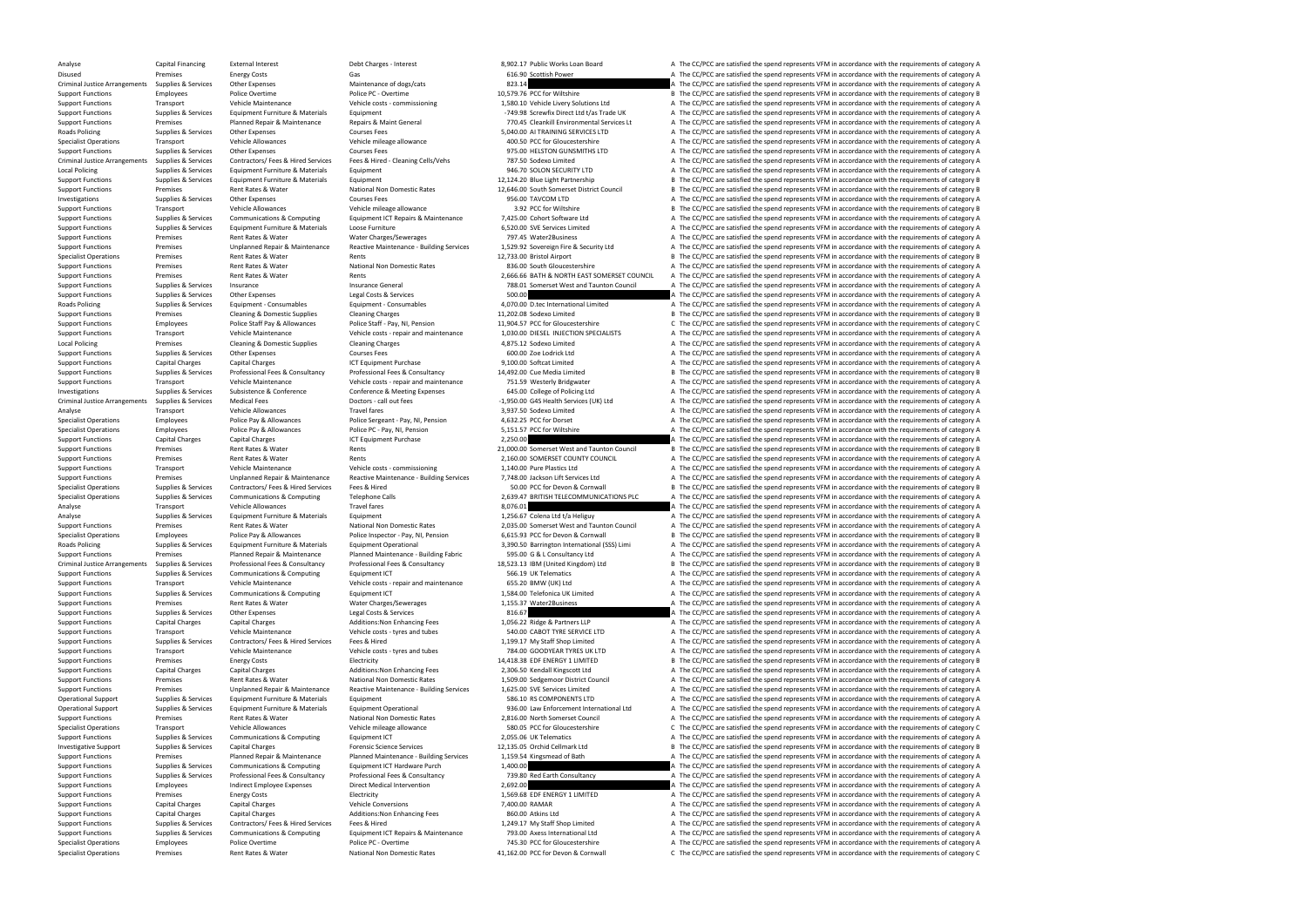Specialist Operations Premises Rent Rates & Water National Non Domestic Rates 41,162.00 PCC for Devon & Cornwall C The CC/PCC are satisfied the spend represents VFM in accordance with the requirements of category C

Analyse Capital Financing External Interest Debt Charges - Interest Debt Charges - Interest 8,902.17 Public Works Loan Board A The CC/PCC are satisfied the spend represents VFM in accordance with the requirements of catego Disused Premises Energy Costs Energy Costs Gas Gas Gas Gas 616.90 Scottish Power A The CC/PCC are satisfied the spend represents VFM in accordance with the requirements of category A Criminal Justice Arrangements Supplies Criminal Justice Arrangements Supplies & Services Other Expenses Maintenance of dogs/cats Maintenance of dogs/cats 823.14 A The CC/PCC are satisfied the spend represents VFM in accordance with the requirements of category Support Functions Employees Police Overtime Police PC - Overtime Police PC - Overtime 10,579.76 PCC for Wiltshire B The CC/PCC are satisfied the spend represents VFM in accordance with the requirements of category B Support Functions Transport Vehicle Maintenance Vehicle costs - commissioning 1,580.10 Vehicle Livery Solutions Ltd A The CC/PCC are satisfied the spend represents VFM in accordance with the requirements of category A Support Functions Supplies & Services Equipment Furniture & Materials Equipment Equipment Equipment Equipment Equipment Equipment Equipment Equipment -749.98 Screwfix Direct Ltd t/as Trade UK A The CC/PCC are satisfied the Support Functions Premises Planned Repair & Maintenance Repairs & Maint General 770.45 Cleankill Environmental Services Lt A The CC/PCC are satisfied the spend represents VFM in accordance with the requirements of category Expenses Supplies & Services Other Expenses Courses Fees Courses Fees Courses Fees Supplies A The CC/PCC are satisfied the spend represents VFM in accordance with the requirements of category A Transport Vehicle Allowance Specialist Operations Transport Vehicle Allowances Vehicle mileage allowance Vehicle mileage allowance Vehicle mileage allowance 400.50 PCC for Gloucestershire A The CC/PCC are satisfied the spend represents VFM in accorda Support Functions Supplies & Services Other Expenses Courses Fees Courses Fees Courses Fees Pees Pees A The COURS COURS A The CC/PCC are satisfied the spend represents VFM in accordance with the requirements of category A Supplies & Services Contractors/Fees & Hired Services Fees & Hired - Cleaning Cells/Vehs 787.50 Sodexo Limited<br>Supplies & Services Equipment Furniture & Materials Equipment Equipment 10 946.70 SOLON SECURITY LTD A The CC/P Local Policing Supplies & Services Equipment Furniture & Materials Equipment 946.70 SOLON SECURITY LTD A The CC/PCC are satisfied the spend represents VFM in accordance with the requirements of category A Support Functions Supplies & Services Equipment Furniture & Materials Equipment 12,124.20 Blue Light Partnership B The CC/PCC are satisfied the spend represents VFM in accordance with the requirements of category B Support Functions Premises Rent Rates & Water National Non Domestic Rates 12,646.00 South Somerset District Council B The CC/PCC are satisfied the spend represents VFM in accordance with the requirements of category B Investigations Supplies & Services Other Expenses Courses Fees Courses Fees Courses Fees and Courses Fees 956.00 TAVCOM LTD A The CC/PCC are satisfied the spend represents VFM in accordance with the requirements of categor Support Functions Transport Vehicle Allowances Vehicle Allowance Vehicle mileage allowance 3.92 PCC for Wiltshire B The CC/PCC are satisfied the spend represents VFM in accordance with the requirements of category B Suppor Support Functions Supplies & Services Communications & Computing Equipment ICT Repairs & Maintenance 7,425.00 Cohort Software Ltd A The CC/PCC are satisfied the spend represents VFM in accordance with the requirements of c Support Functions Supplies & Services Equipment Furniture & Materials Loose Furniture Loose Furniture and Expendi<br>Support Functions Support Functions of the requirements of category A The CC/PCC are satisfied the spend rep Support Functions Premises Rent Rates & Water Water Charges/Sewerages 797.45 Water2Business A The CC/PCC are satisfied the spend represents VFM in accordance with the requirements of category A Support Functions Termises Premises Unplanned Repair & Maintenance Reactive Maintenance - Building Services 1.529.92 Sovereign Fire & Security Ltd A The CC/PCC are satisfied the spend represents VFM in accordance with the Specialist Operations Premises Rent Rates & Water Rents 12,733.00 Bristol Airport B The CC/PCC are satisfied the spend represents VFM in accordance with the requirements of category B Support Functions Premises Premises Rent Rates & Water National Non Domestic Rates and Domestic Rates 836.00 South Gloucestershire A The CC/PCC are satisfied the spend represents VFM in accordance with the requirements of Support Functions Premises Rent Rates & Water Rents Rents Rents Rents 2,666.66 BATH & NORTH EAST SOMERSET COUNCIL A The CC/PCC are satisfied the spend represents VFM in accordance with the requirements of category A Support Functions Supplies & Services Insurance Supplies Insurance General Insurance General Insurance General Taunton Council A The CC/PCC are satisfied the spend represents VFM in accordance with the requirements of cate Support Functions Supplies & Services Other Expenses Legal Costs & Services Legal Costs & Services Cegal Costs & Services Support Functional Limited A The CC/PCC are satisfied the spend represents VFM in accordance with th A The CC/PCC are satisfied the spend represents VFM in accordance with the requirements of category A Support Functions Premises Cleaning & Domestic Supplies Cleaning Charges Cleaning Charges Cleaning Charges Cleaning Charges and the 202.08 Sodexo Limited B The CC/PCC are satisfied the spend represents VFM in accordance wi Support Functions Employees Police Staff Pay & Allowances Police Staff - Pay, NI, Pension 11,904.57 PCC for Gloucestershire C The CC/PCC are satisfied the spend represents VFM in accordance with the requirements of categor Support Eugene Transport Transport Centre Ophicle Maintenance Webicle costs - repair and maintenance 1030.00 DIFSEL INIECTION SPECIALISTS A The CC/PCC are satisfied the spend represents VEM in accordance with the requireme Local Policing Premises Cleaning & Domestic Supplies Cleaning Charges Cleaning Charges A The CARGES A The CCARGES A The CCARGES A The CCARGES A The CCARGES A The CCARGES A The CCARGES ARGES ARGES AND A The COLOGE LOCARGES Support Functions Supplies & Services Other Expenses Courses Fees Courses Fees 600.00 Zoe Lodrick Ltd A The CC/PCC are satisfied the spend represents VFM in accordance with the requirements of category A Support Functions Capital Charges Capital Charges ICT Equipment Purchase 9,100.00 Softcat Limited A The CC/PCC are satisfied the spend represents VFM in accordance with the requirements of category A Support Functions Supplies & Services Professional Fees & Consultancy Professional Fees & Consultancy Professional Fees & Consultancy Professional Fees & Consultancy Professional Fees & Consultancy 14,492.00 Cue Media Limi Support Functions Transport Vehicle Maintenance Vehicle Costs - repair and maintenance 751.59 Westerly Bridgwater A The CC/PCC are satisfied the spend represents VFM in accordance with the requirements of category A Invest Investigations Supplies & Services Subsistence Subsistence Conference Conference Conference Conference Conference Conference Conference Conference Conference Conference Conference Conference Conference Conference Conferenc Criminal Justice Arrangements Supplies & Services Medical Fees Medical Fees Doctors - call out fees Doctors - call out fees Network Criminal Justice Arrangements of category A Analyse Transport Vehicle Allowances Travel fares Travel fares 3,937.50 Sodexo Limited A The CC/PCC are satisfied the spend represents VFM in accordance with the requirements of category A Specialist Operations Employees Police Pay & Allowances Police Sergeant - Pay, NI, Pension 4,632.25 PCC for Dorset A The CC/PCC are satisfied the spend represents VFM in accordance with the requirements of category A The C Specialist Operations Employees Police Pay & Allowances Police PC - Pay, NI, Pension 5,151.57 PCC for Wiltshire A The CC/PCC are satisfied the spend represents VFM in accordance with the requirements of category A The CC/P Support Functions Capital Charges Capital Charges Capital Charges ICT Equipment Purchase 1CT Equipment Purchase 2,250.00 A The CC/PCC are satisfied the spend represents VFM in accordance with the requirements of category B Support Functions Premises Rent Rates & Water Rents Rents Rents Rents 21,000.00 Somerset West and Taunton Council B The CC/PCC are satisfied the spend represents VFM in accordance with the requirements of category B Support Functions Premises Rent Rates & Water Rents Rents Rents Rents 2,160.00 SOMERSET COUNTY COUNCIL A The CC/PCC are satisfied the spend represents VFM in accordance with the requirements of category A Support Functions Transport Support Transport Vehicle Maintenance Vehicle Costs - commissioning 1,140.00 Pure Plastics Ltd A The CC/PCC are satisfied the spend represents VFM in accordance with the requirements of category Support Functions Termises Premises Unplanned Repair & Maintenance Reactive Maintenance - Building Services 7,748.00 Jackson Lift Services Ltd A The CC/PCC are satisfied the spend represents VFM in accordance with the requ Specialist Operations Supplies & Services Contractors/ Fees & Hired Services Fees & Hired 50.00 PCC for Devon & Cornwall B The CC/PCC are satisfied the spend represents VFM in accordance with the requirements of category B Specialist Operations Supplies & Services Communications & Computing Telephone Calls 2.639.47 BRITISH TELECOMMUNICATIONS PLC A The CC/PCC are satisfied the spend represents VFM in accordance with the requirements of catego Analyse Transport Vehicle Allowances Travel fares Travel fares 8,076.01 A The CC/PCC are satisfied the spend represents VFM in accordance with the requirements of category A Analyse Supplies & Services Equipment Furniture & Materials Equipment Equipment 1,256.67 Colena Ltd t/a Heliguy A The CC/PCC are satisfied the spend represents VFM in accordance with the requirements of category A Support Functions Premises Rent Rates & Water National Non Domestic Rates 2,035.00 Somerset West and Taunton Council A The CC/PCC are satisfied the spend represents VFM in accordance with the requirements of category A Spe Specialist Operations Employees Employees Police Pay & Allowances Police Inspector - Pay, NI, Pension 6,615.93 PCC for Devon & Cornwall B The CC/PCC are satisfied the spend represents VFM in accordance with the requirement A The CC/PCC are satisfied the spend represents VFM in accordance with the requirements of category A Support Functions Premises Planned Repair & Maintenance Planned Maintenance - Building Fabric 595.00 G & L Consultancy Ltd A The CC/PCC are satisfied the spend represents VFM in accordance with the requirements of category Criminal Justice Arrangements Supplies & Services Professional Fees & Consultancy Professional Fees & Consultancy Professional Fees & Consultancy Professional Fees & Consultancy 18.523.13 IBM (United Kingdom) Ltd B The CC/ Support Functions Supplies & Services Communications & Computing Equipment ICT 566.19 UK Telematics A The CC/PCC are satisfied the spend represents VFM in accordance with the requirements of category A Support Functions Transport Vehicle Maintenance Vehicle costs - repair and maintenance 655.20 BMW (UK) Ltd A The CC/PCC are satisfied the spend represents VFM in accordance with the requirements of category A The CC/PCC ar Supplies & Services Communications & Computing Equipment ICT 1,584.00 Telefonica UK Limited A The CC/PCC are satisfied the spend represents VFM in accordance with the requirements of category A Support Functions Premises Rent Rates & Water Mater Water Charges/Sewerages 1,155.37 Water2Business A The CC/PCC are satisfied the spend represents VFM in accordance with the requirements of category A Support Functions Supplies & Services Other Expenses Legal Costs & Services 816.67 A The CC/PCC are satisfied the spend represents VFM in accordance with the requirements of category A Support Functions Capital Charges Capital Charges Capital Charges Additions:Non Enhancing Fees 1,056.22 Ridge & Partners LLP A The CC/PCC are satisfied the spend represents VFM in accordance with the requirements of catego Support Functions Transport Vehicle Maintenance Vehicle costs - tyres and tubes 540.00 CABOT TYRE SERVICE LTD A The CC/PCC are satisfied the spend represents VFM in accordance with the requirements of category A Support Fu Support Functions Supplies & Services Contractors/ Fees & Hired Services Fees & Hired Services Fees & Hired 1,199.17 My Staff Shop Limited A The CC/PCC are satisfied the spend represents VFM in accordance with the requirem Support Functions Transport Vehicle Maintenance Vehicle costs - tyres and tubes 784.00 GOODYEAR TYRES UK LTD A The CC/PCC are satisfied the spend represents VFM in accordance with the requirements of category A Support Functions Premises Energy Costs Electricity Electricity Electricity Electricity Electricity 14,418.38 EDF ENERGY 1 LIMITED B The CC/PCC are satisfied the spend represents VFM in accordance with the requirements of Support Functions Capital Charges Capital Charges Additions:Non Enhancing Fees 2,306.50 Kendall Kingscott Ltd A The CC/PCC are satisfied the spend represents VFM in accordance with the requirements of category A The COPCC Support Functions Premises Rent Rates Rent Rates National Non Domestic Rates 1,509.00 Sedgemoor District Council A The CC/PCC are satisfied the spend represents VFM in accordance with the requirements of category A The CC/ Support Functions Termises Premises Unplanned Repair & Maintenance Reactive Maintenance - Building Services 1,625.00 SVE Services Limited A The CC/PCC are satisfied the spend represents VFM in accordance with the requireme Operational Support Supplies & Services Equipment Furniture & Materials Equipment Equipment Support SAS COMPONENTS LTD A The CC/PCC are satisfied the spend represents VFM in accordance with the requirements of category A Operational Support Supplies & Services Equipment Furniture & Materials Equipment Operational Revises and the Services Equipment Operational Non Domestic Rates of 2,816.00 Law Enforcement International Ltd A The CC/PCC are Support Functions Premises Rent Rates & Water National Non Domestic Rates 2,816.00 North Somerset Council A The CC/PCC are satisfied the spend represents VFM in accordance with the requirements of category A Specialist Operations Transport Specialist Operations and Vehicle Allowances Vehicle mileage allowance Vehicle mileage allowance S80.05 PCC for Gloucestershire C The CC/PCC are satisfied the spend represents VFM in accorda Support Functions Supplies & Services Communications & Computing Equipment ICT 2,055.06 UK Telematics A The CC/PCC are satisfied the spend represents VFM in accordance with the requirements of category A Investigative Support Supplies & Services Capital Charges Forensic Science Services 12,135.05 Orchid Cellmark Ltd B The CC/PCC are satisfied the spend represents VFM in accordance with the requirements of category B Support Functions Premises Planned Repair & Maintenance Planned Maintenance - Building Services 1,159.54 Kingsmead of Bath A The CC/PCC are satisfied the spend represents VFM in accordance with the requirements of category Support Functions Supplies & Services Communications & Computing Equipment ICT Hardware Purch 1,400.00 A The CC/PCC are satisfied the spend represents VFM in accordance with the requirements of category A The CC/PCC are sa Support Functions Supplies & Services Professional Fees & Consultancy Professional Fees & Consultancy Professional Fees & Consultancy Professional Fees & Consultancy 739.80 Red Earth Consultancy A The CC/PCC are satisfied Support Function Employees And The Companisor of the Support Function Category A The Companisor of the Support Companisor of the Support Function Companisor of category A The CC/PCC are satisfied the spend represents VFM i Support Functions Premises Energy Costs Electricity Electricity Electricity Electricity 1,569.68 EDF ENERGY 1 LIMITED A The CC/PCC are satisfied the spend represents VFM in accordance with the requirements of category A Su Support Functions Capital Charges Capital Charges Vehicle Conversions Vehicle Conversions 7,400.00 RAMAR A The CC/PCC are satisfied the spend represents VFM in accordance with the requirements of category A The CC/PC are s Support Functions Capital Charges Capital Charges Additions:Non Enhancing Fees 860.00 Atkins Ltd A The CC/PCC are satisfied the spend represents VFM in accordance with the requirements of category A Support Functions Supplies & Services Contractors/ Fees & Hired Services Fees & Hired 1,249.17 My Staff Shop Limited A The CC/PCC are satisfied the spend represents VFM in accordance with the requirements of category A The Supplies & Services Communications & Computing Equipment ICT Repairs & Maintenance 793.00 Axess International Ltd Ame CC/PCC are satisfied the spend represents VFM in accordance with the requirements of category A Specialist Operations Employees Police Overtime Police PC - Overtime Police PC - Overtime 745.30 PCC for Gloucestershire A The CC/PCC are satisfied the spend represents VFM in accordance with the requirements of category A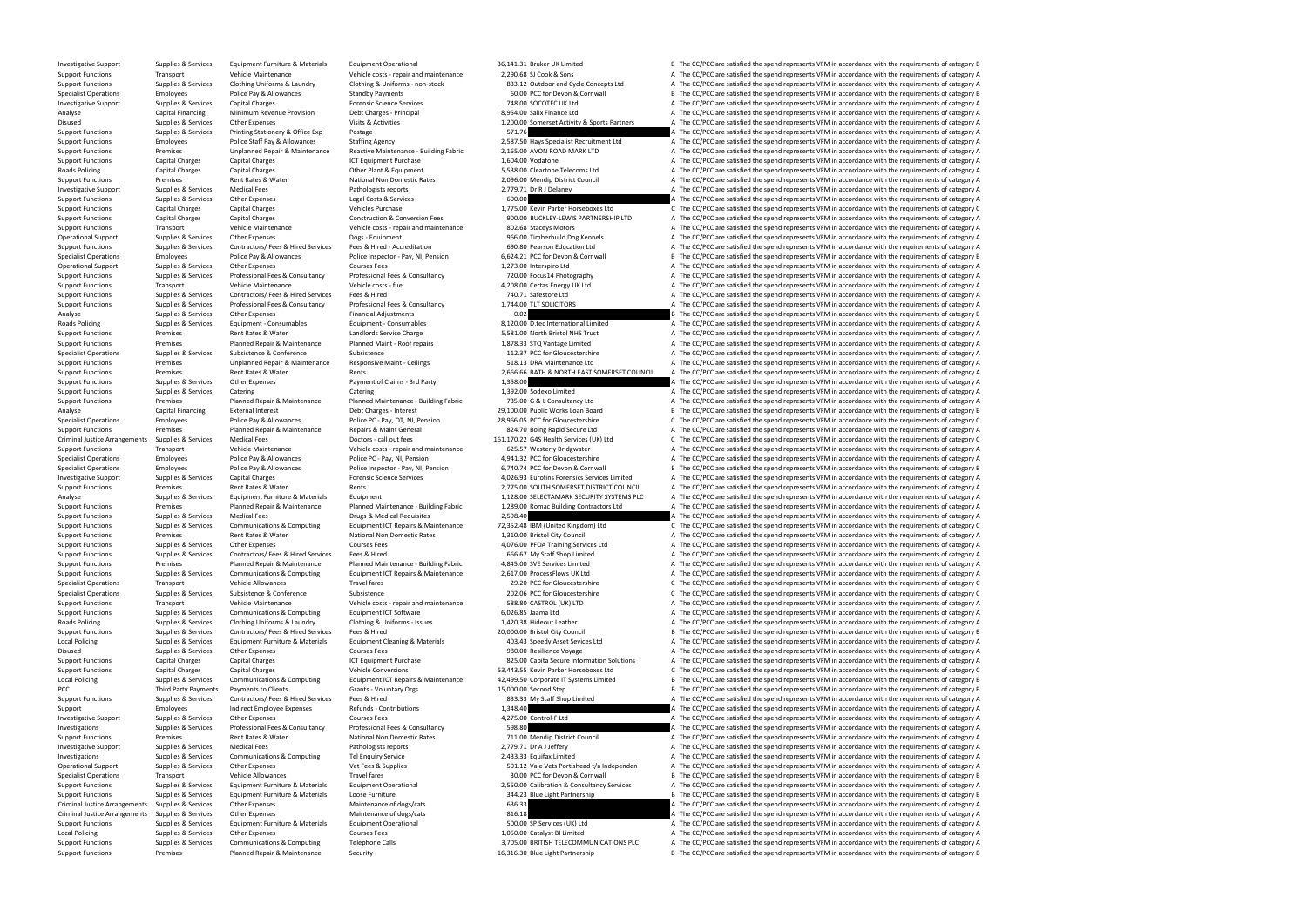Support Functions Premises Planned Repair & Maintenance Security Security 16.316.30 Blue Light Partnership B The CC/PCC are satisfied the spend represents VFM in accordance with the requirements of category B

Investigative Support Supplies & Services Equipment Furniture & Materials Equipment Operational 36,141.31 Bruker UK Limited B The CC/PCC are satisfied the spend represents VFM in accordance with the requirements of categor Support Functions Transport Vehicle Maintenance Vehicle Vehicle costs - repair and maintenance 2,290.68 SJ Cook & Sons A The CC/PCC are satisfied the spend represents VFM in accordance with the requirements of category A T Support Functions Supplies & Services Clothing Uniforms & Laundry Clothing & Uniforms - non-stock 233.12 Outdoor and Cycle Concepts Ltd A The CC/PCC are satisfied the spend represents VFM in accordance with the requirement Specialist Operations Employees Police Pay & Allowances Standby Payments Standby Payments 60.00 PCC for Devon & Cornwall B The CC/PCC are satisfied the spend represents VFM in accordance with the requirements of category B Investigative Support Supplies & Services Capital Charges Forensic Science Services 748.00 SOCOTEC UK Ltd A The CC/PCC are satisfied the spend represents VFM in accordance with the requirements of category A Analyse Capital Financing Minimum Revenue Provision Debt Charges - Principal 8,954.00 Salix Finance Ltd A The CC/PCC are satisfied the spend represents VFM in accordance with the requirements of category A Disused Supplies & Services Other Expenses Visits & Activities Visits and Visits and the Comerset Activity Activity & Sports Partners A The CC/PCC are satisfied the spend represents VFM in accordance with the requirements Supplies & Services Printing Stationery & Office Exp Postage exp Postage 571.76 571.76 A The CC/PCC are satisfied the spend represents VFM in accordance with the requirements of category A Support Functions Employees Police Staff Pay & Allowances Staffing Agency 2,587.50 Hays Specialist Recruitment Ltd A The CC/PCC are satisfied the spend represents VFM in accordance with the requirements of category A Suppo Support Functions Tunnism Premises Dipplanned Repair & Maintenance Reactive Maintenance - Building Fabric 2,165.00 AVON ROAD MARK LTD A The CC/PCC are satisfied the spend represents VFM in accordance with the requirements Support Functions Capital Charges Capital Charges ICT Equipment Purchase 1,604.00 Vodafone A The CC/PCC are satisfied the spend represents VFM in accordance with the requirements of category A Roads Policing Capital Charges Capital Charges Other Plant & Equipment 5,538.00 Cleartone Telecoms Ltd A The CC/PCC are satisfied the spend represents VFM in accordance with the requirements of category A Support Functions Premises Premises Rent Rates Rater National Non Domestic Rates 2,096.00 Mendip District Council A The CC/PCC are satisfied the spend represents VFM in accordance with the requirements of category A The Cr Investigative Support Supplies & Services Medical Fees Medical Fees Pathologists reports Pathologists reports 2,779.71 Dr R J Delaney A The CC/PCC are satisfied the spend represents VFM in accordance with the requirements Support Functions Supplies A Services Control of Category A The CC/PCC are satisfied the spend represents VFM in accordance with the requirements of category A Capital Charges Managements of category Capital Charges Suppli Support Functions Capital Charges Capital Charges Vehicles Purchase Vehicles Purchase 1,775.00 Kevin Parker Horseboxes Ltd C The CC/PCC are satisfied the spend represents VFM in accordance with the requirements of category Support Functions Capital Charges Capital Charges Construction & Conversion Fees 900.00 BUCKLEY-LEWIS PARTNERSHIP LTD A The CC/PCC are satisfied the spend represents VFM in accordance with the requirements of category A Support Functions Transport Vehicle Maintenance Vehicle Costs - repair and maintenance 202.68 Staceys Motors A The CC/PCC are satisfied the spend represents VFM in accordance with the requirements of category A The CC/PC a Operational Support Supplies & Services Other Expenses Dogs - Equipment Dogs - Equipment 966.00 Timberbuild Dog Kennels A The CC/PCC are satisfied the spend represents VFM in accordance with the requirements of category A Support Functions Supplies & Services Contractors/ Fees & Hired Services Fees & Hired - Accreditation 690.80 Pearson Education Ltd A The CC/PCC are satisfied the spend represents VFM in accordance with the requirements of Specialist Operations Employees Police Pay & Allowances Police Inspector - Pay NI. Pension 6.624.21 PCC for Devon & Cornwall Bank CO/PCC are satisfied the spend represents VFM in accordance with the requirements of categor Operational Support Supplies & Services Other Expenses Courses Fees Courses Fees 1,273.00 Interspiro Ltd A The CC/PCC are satisfied the spend represents VFM in accordance with the requirements of category A Support Functions Supplies & Services Professional Fees & Consultancy Professional Fees & Consultancy Professional Fees & Consultancy Professional Fees & Consultancy 720.00 Focus14 Photography A The CC/PCC are satisfied th Support Functions Transport Vehicle Maintenance Vehicle costs - fuel vehicle costs - fuel 4,208.00 Certas Energy UK Ltd A The CC/PCC are satisfied the spend represents VFM in accordance with the requirements of category A Support Functions Supplies & Services Contractors/ Fees & Hired Services Fees & Hired Services Fees & Hired 740.71 Safestore Ltd A The CC/PCC are satisfied the spend represents VFM in accordance with the requirements of ca A The CC/PCC are satisfied the spend represents VFM in accordance with the requirements of category A Analyse Supplies & Services Other Expenses Financial Adjustments Consumables Financial Adjustments on Financial Adjustments 1999 and the COLO COLLEC International Limited and The CC/PCC are satisfied the spend represents V Roads Policing Supplies & Services Equipment - Consumables Equipment - Consumables Equipment - Consumables Bupplies and the Consumational Limited A The CC/PCC are satisfied the spend represents VFM in accordance with the r Support Functions Premises Rent Rates & Water Landlords Service Charge 5,581.00 North Reistol NHS Trust A The CC/PCC are satisfied the spend represents VFM in accordance with the requirements of category A Support Functions Premises Planned Repair & Maintenance Planned Maint - Roof repairs 1,878.33 STQ Vantage Limited A The CC/PCC are satisfied the spend represents VFM in accordance with the requirements of category A Specialist Operations Supplies & Services Subsistence Subsistence Subsistence Subsistence Subsistence Subsistence Subsistence Subsistence Subsistence Subsistence 2007 A The CC/PCC are satisfied the spend represents VFM in Support Functions Premises Unplanned Repair & Maintenance Responsive Maint - Ceilings 518.13 DRA Maintenance Ltd A The CC/PCC are satisfied the spend represents VFM in accordance with the requirements of category A The CON Support Functions Premises Premises Rent Rates & Water Rents Rents Rents Rents Rents 2,666.66 BATH & NORTH EAST SOMERSET COUNCIL A The CC/PCC are satisfied the spend represents VFM in accordance with the requirements of ca Support Functions Supplies & Services Other Expenses Payment of Claims - 3rd Party 1,358.00 A The CC/PCC are satisfied the spend represents VFM in accordance with the requirements of category A The CC/PC are satisfied the Support Functions Supplies & Services Catering Catering Catering Catering Catering Catering Catering Catering Catering Catering Catering Catering Catering a District A The CC/PCC are satisfied the spend represents VFM in a Support Functions Premises Planned Repair & Maintenance Planned Maintenance - Building Fabric 735.00 G & L Consultancy Ltd A The CC/PCC are satisfied the spend represents VFM in accordance with the requirements of category Analyse Capital Financing External Interest Debt Charges - Interest Debt Charges - Interest 29,100.00 Public Works Loan Board B The CC/PCC are satisfied the spend represents VFM in accordance with the requirements of categ Specialist Operations Employees Police Pay & Allowances Police PC - Pay, OT, NI, Pension 28,966.05 PCC for Gloucestershire C The CC/PCC are satisfied the spend represents VFM in accordance with the requirements of category Support Functions Premises Planned Repair & Maintenance Repairs & Maint General 824.70 Boing Rapid Secure Ltd A The CC/PCC are satisfied the spend represents VFM in accordance with the requirements of category A Criminal Justice Arrangements Supplies & Services Medical Fees Medical Pees Doctors-call out fees 161,170.22 G4S Health Services (UK) Ltd CThe CC/PCC are satisfied the spend represents VFM in accordance with the requiremen Support Functions Transport Vehicle Maintenance Vehicle costs - repair and maintenance 625.57 Westerly Bridgwater A The CC/PCC are satisfied the spend represents VFM in accordance with the requirements of category A Specialist Operations Employees Police Pay & Allowances Police PC - Pay, NI, Pension 4,941.32 PCC for Gloucestershire A The CC/PCC are satisfied the spend represents VFM in accordance with the requirements of category A Specialist Operations Supply es Employees Police Pay & Allowances Police Inspector - Pay, NI, Pension 6,740.74 PCC for Devon & Cornwall<br>
1999 Investigative Support Supplies & Services Capital Charges Forensic Science Servi Investigative Support Supplies & Services Capital Charges Capital Charges Provensic Science Services Services<br>
Support Functions Premises Provensies Rent Rates & Water Provensies Rents Rents Rents Rents Rents Rents Rents Support Functions Premises Rent Rates & Water Rents 2,775.00 SOUTH SOMERSET DISTRICT COUNCIL A The CC/PCC are satisfied the spend represents VFM in accordance with the requirements of category A Analyse Supplies & Services Equipment Furniture & Materials Equipment 1,128.00 SELECTAMARK SECURITY SYSTEMS PLC A The CC/PCC are satisfied the spend represents VFM in accordance with the requirements of category A Support Functions Termises Premises Planned Repair & Maintenance Planned Maintenance - Building Fabric 1,289.00 Romac Building Contractors Ltd A The CC/PCC are satisfied the spend represents VFM in accordance with the requ Support Functions Supplies & Services Medical Fees Drugs & Medical Requisites 2,598.40 A The CC/PCC are satisfied the spend represents VFM in accordance with the requirements of category A Support Functions Supplies & Serv Support Functions Supplies & Services Communications & Computing Equipment ICT Repairs & Maintenance 72,352.48 IBM (United Kingdom) Ltd C The CC/PCC are satisfied the spend represents VFM in accordance with the requirement Support Functions Premises Premises Rent Rates Rent Rates National Non Domestic Rates 1,310.00 Bristol City Council A The CC/PCC are satisfied the spend represents VFM in accordance with the requirements of category A Supp Support Functions Supplies & Services Other Expenses Courses Fees Courses Fees 4,076.00 PFOA Training Services Ltd A The CC/PCC are satisfied the spend represents VFM in accordance with the requirements of category A Support Functions Supplies & Services Contractors/ Fees & Hired Services Fees & Hired Fees & Hired 666.67 My Staff Shop Limited A The CC/PCC are satisfied the spend represents VFM in accordance with the requirements of cat Support Functions Premises Pranned Repair & Maintenance Planned Maintenance - Building Fabric 4.845.00 SVE Services Limited A The CC/PCC are satisfied the spend represents VFM in accordance with the requirements of categor Support Functions Supplies & Services Communications & Computing Faulty Functions Equipment ICT Repairs & Maintenance 2.617.00 ProcessFlows LIK Itd A The CC/PCC are satisfied the spend represents VEM in accordance with the Specialist Operations Transport Vehicle Allowances Travel fares Travel fares 29.20 PCC for Gloucestershire C The CC/PCC are satisfied the spend represents VFM in accordance with the requirements of category C Specialist Operations Supplies & Services Subsistence Subsistence Subsistence Subsistence Subsistence Subsistence Subsistence C The CC/PCC are satisfied the spend represents VFM in accordance vith the requirements of categ Support Functions Transport Vehicle Maintenance Vehicle costs - repair and maintenance 588.80 CASTROL (UK) LTD A The CC/PCC are satisfied the spend represents VFM in accordance with the requirements of category A Support Functions Supplies & Services Communications & Computing Equipment ICT Software 6,026.85 Jaama Ltd A The CC/PCC are satisfied the spend represents VFM in accordance with the requirements of category A Roads Policing Supplies & Services Clothing Uniforms & Laundry Clothing & Uniforms - Issues 1,420.38 Hideout Leather A The CC/PCC are satisfied the spend represents VFM in accordance with the requirements of category A Sup Supplies & Services Contractors/ Fees & Hired Services Fees & Hired Hired Services Fees & Hired Press Fees & Hired Services Fees & Hired 20,000.00 Bristol City Council B The CC/PCC are satisfied the spend represents VFM in Local Policing Supplies & Services Equipment Furniture & Materials Equipment Cleaning & Materials Equipment Cleaning & Materials and the CONSCRITE A The CC/PCC are satisfied the spend represents VFM in accordance with the Disused Supplies & Services Other Expenses Courses Fees Supplies Courses Fees 980.00 Resilience Voyage A The CC/PCC are satisfied the spend represents VFM in accordance with the requirements of category A Support Functions Capital Charges Capital Charges Capital Charges ICT Equipment Purchase 1CT Equipment Purchase 825.00 Capita Secure Information Solutions A The CC/PCC are satisfied the spend represents VFM in accordance w Capital Charges Capital Charges Support The Capital Charges Vehicle Conversions 53,443.55 Kevin Parker Horseboxes Ltd C The CC/PCC are satisfied the spend represents VFM in accordance with the requirements of category C Local Policing Supplies & Services Communications & Computing Equipment ICT Repairs & Maintenance 42,499.50 Corporate IT Systems Limited B The CC/PCC are satisfied the spend represents VFM in accordance with the requiremen PCC Third Party Payments Payments to Clients Grants - Voluntary Orgs 15,000.00 Second Step B The CC/PCC are satisfied the spend represents VFM in accordance with the requirements of category B Support Functions Supplies & Services Contractors/ Fees & Hired Services Fees & Hired Services Fees & Hired 883.33 My Staff Shop Limited A The CC/PCC are satisfied the spend represents VFM in accordance with the requiremen Support Employees Indirect Employee Expenses Refunds - Contributions 1,348.40 A The CC/PCC are satisfied the spend represents VFM in accordance with the requirements of category A Investigative Support Supplies & Services Investigative Support Supplies & Services Other Expenses Courses Fees Courses Fees 4,275.00 Control-F Ltd A The CC/PCC are satisfied the spend represents VFM in accordance with the requirements of category A Investigations Supplies & Services Professional Fees & Consultancy Professional Fees & Consultancy Professional Fees & Consultancy Professional Fees & Consultancy 598.80 Support Functions Premises Rent Rates & Water National Non Domestic Rates 711.00 Mendip District Council A The CC/PCC are satisfied the spend represents VFM in accordance with the requirements of category A Investigative Support Supplies & Services Medical Fees Pathologists reports 2,779.71 Dr A J Jeffery A The CC/PCC are satisfied the spend represents VFM in accordance with the requirements of category A Investigations Supplies & Services Communications & Computing Tel Enquiry Service 2,433.33 Equifax Limited A The CC/PCC are satisfied the spend represents VFM in accordance with the requirements of category A Operational Support Supplies & Services Other Expenses Vet Fees & Supplies Vet Fees & Supplies 501.12 Vale Vets Portishead t/a Independen A The CC/PCC are satisfied the spend represents VFM in accordance with the requireme Specialist Operations Transport Vehicle Allowances Travel fares Travel fares Travel fares and the Spend Recorn B The CC/PCC are satisfied the spend represents VFM in accordance with the requirements of category B Support F Support Functions Supplies & Services Equipment Furniture & Materials Equipment Operational 2,550.00 Calibration & Consultancy Services A The CC/PCC are satisfied the spend represents VFM in accordance with the requirement Support Functions Supplies & Services Equipment Furniture & Materials Loose Furniture 344.23 Blue Light Partnership B The CC/PCC are satisfied the spend represents VFM in accordance with the requirements of category B Criminal Justice Arrangements Supplies & Services Other Expenses Maintenance of dogs/cats Maintenance of dogs/cats 636.33 A The CC/PCC are satisfied the spend represents VFM in accordance with the requirements of category Criminal Justice Arrangements Supplies & Services Other Expenses Maintenance of dogs/cats Maintenance of dogs/cats 816.18 A The CC/PCC are satisfied the spend represents VFM in accordance with the requirements of category Support Functions Supplies & Services Equipment Furniture & Materials Equipment Operational Equipment Operational 500.00 SP Services (UK) Ltd A The CC/PCC are satisfied the spend represents VFM in accordance with the requi Supplies & Services Other Expenses Courses Fees 1,050.00 Catalyst BI Limited A The CC/PCC are satisfied the spend represents VFM in accordance with the requirements of category A Support Functions Supplies & Services Communications & Computing Telephone Calls 3,705.00 BRITISH TELECOMMUNICATIONS PLC A The CC/PCC are satisfied the spend represents VFM in accordance with the requirements of category A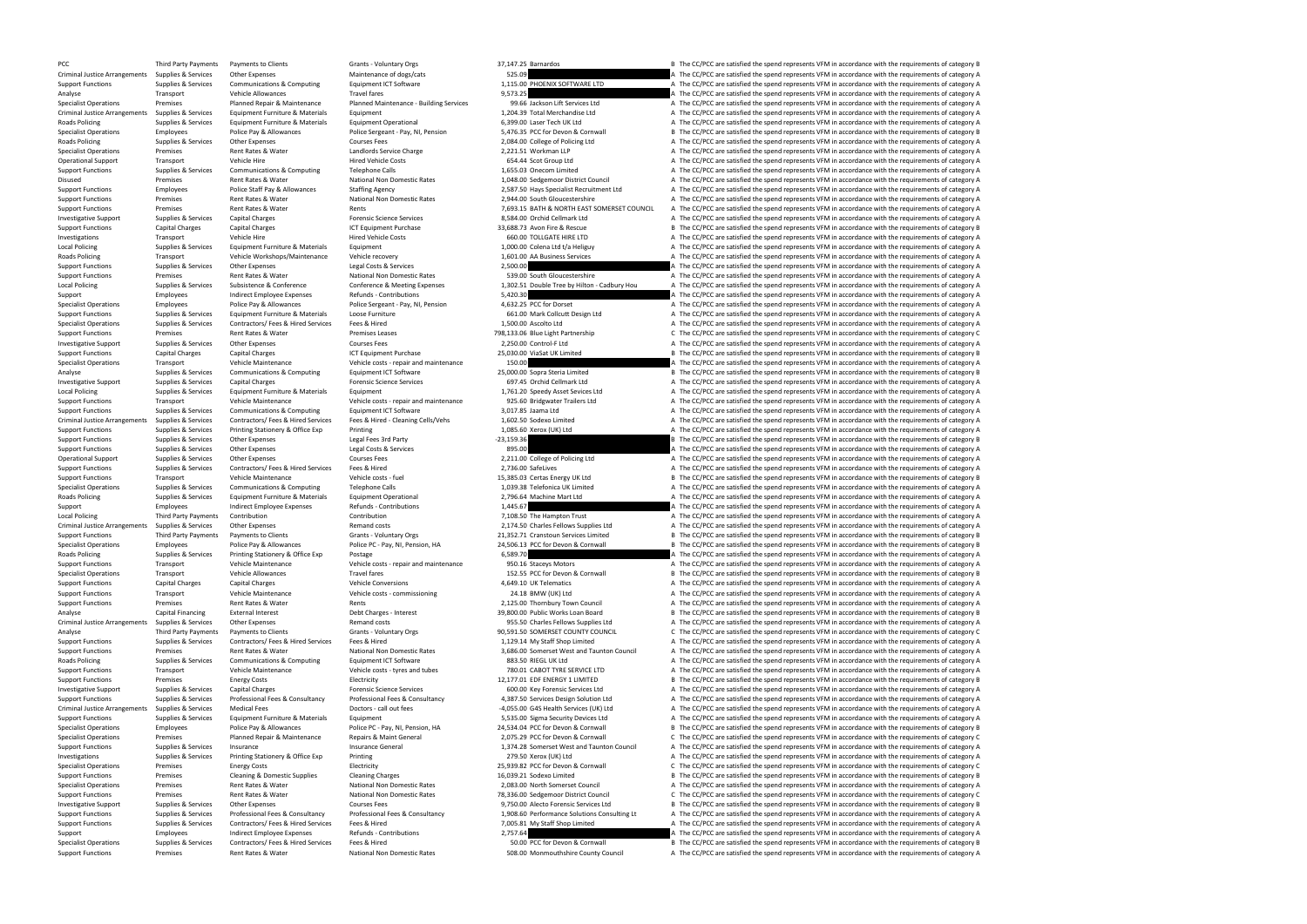PCC Third Party Payments Payments to Clients Grants - Voluntary Orgs 37,147.25 Barnardos B The CC/PCC are satisfied the spend represents VFM in accordance with the requirements of category B

Criminal Justice Arrangements Supplies & Services Other Expenses Maintenance of dogs/cats Maintenance of dogs/cats 525.09 A The CC/PCC are satisfied the spend represents VFM in accordance with the requirements of category Support Functions Supplies & Services Communications & Computing Equipment ICT Software ELTD A The CC/PCC are satisfied the spend represents VFM in accordance with the requirements of category A Analyse Travel are a Travel fares and the C/PCC are satisfied the spend represents VFM in accordance with the requirements of category A The Communications of the spend represents VFM in accordance with the requirements of Specialist Operations The Premises Pranned Repair & Maintenance Planned Maintenance Planned Maintenance Planned Maintenance - Building Services 99.66 Jackson Lift Services A The CC/PCC are satisfied the spend represents VF Criminal Justice Arrangements Supplies & Services Equipment Furniture & Materials Equipment 1,201.39 Total Merchandise Ltd A The CC/PCC are satisfied the spend represents VFM in accordance with the requirements of category Roads Policing Supplies & Services Equipment Furniture & Materials Equipment Operational Equipment Operational 6,399.00 Laser Tech UK Ltd A The CC/PCC are satisfied the spend represents VFM in accordance with the requireme Specialist Operations Employees Police Pay & Allowances Police Sergeant - Pay, NI, Pension 5,476.35 PCC for Devon & Cornwall Bine CC/PCC are satisfied the spend represents VFM in accordance with the requirements of categor Roads Policing Supplies A Services Other Expenses Courses Fees Courses Fees 2,084.00 College of Policing Ltd A The CC/PCC are satisfied the spend represents VFM in accordance with the requirements of category A Specialist Premises Rent Rates & Water and Delay and Delay Charge 2,221.51 Workman LLP A The CC/PCC are satisfied the spend represents VFM in accordance with the requirements of category A Transport Charge 1990 and Delay A The CC/PC Operational Support Transport Vehicle Hire Vehicle Hire Hired Vehicle Costs Hired Vehicle Costs 654.44 Scot Group Ltd A The CC/PCC are satisfied the spend represents VFM in accordance with the requirements of category A Th Support Functions Supplies & Services Communications & Computing Telephone Calls 1,655.03 Onecom Limited A The CC/PCC are satisfied the spend represents VFM in accordance with the requirements of category A The Critical Co Disused Premises Rent Rates & Water National Non Domestic Rates 1,048.00 Sedgemoor District Council A The CC/PCC are satisfied the spend represents VFM in accordance with the requirements of category A Support Functions Employees Police Staff Pay & Allowances Staffing Agency 2,587.50 Hays Specialist Recruitment Ltd A The CC/PCC are satisfied the spend represents VFM in accordance with the requirements of category A Support Functions Premises Premises Rent Rates & Water National Non Domestic Rates 2,944.00 South Gloucestershire A The CC/PCC are satisfied the spend represents VFM in accordance with the requirements of category A The Su Support Functions Premises Premises Rent Rates & Water Rents Rents Rents Rents Rents Rents Rents Rents Rents Rents Rents Rents Rents Rents 7,693.15 BATH & NORTH EAST SOMERSET COUNCIL A The CC/PCC are satisfied the spend re Investigative Support Supplies & Services Capital Charges Forensic Science Services Forensic Science Services 8,584.00 Orchid Cellmark Ltd A The CC/PCC are satisfied the spend represents VFM in accordance with the requirem Support Functions Capital Charges Capital Charges Capital Charges ICT Equipment Purchase ICT Equipment Purchase 33,688.73 Avon Fire & Rescue B The CC/PCC are satisfied the spend represents VFM in accordance with the requir Investigations Transport Vehicle Hire Vehicle Hire Hired Vehicle Costs Hired Vehicle Costs and the SOLOD TOLLGATE HIRE LTD A The CC/PCC are satisfied the spend represents VFM in accordance with the requirements of category Local Policing Supplies & Services Equipment Furniture & Materials Equipment 1,000.00 Colena Ltd t/a Heliguy A The CC/PCC are satisfied the spend represents VFM in accordance with the requirements of category A Roads Policing Transport Vehicle Workshops/Maintenance Vehicle recovery 1,601.00 AA Business Services A The CC/PCC are satisfied the spend represents VFM in accordance with the requirements of category A Support Functions Supplies & Services Other Expenses Legal Costs & Services 2,500.00 A The CC/PCC are satisfied the spend represents VFM in accordance with the requirements of category A Support Functions Premises Rent Rates & Water National Non Domestic Rates 539.00 South Gloucestershire A The CC/PCC are satisfied the spend represents VFM in accordance with the requirements of category A Local Policing and Policing Supplies & Services Subsistence Substence Substence Conference Conference Conference A Meeting Expenses 1,302.51 Double Tree by Hilton - Cadbury Hou a The CC/PCC are satisfied the spend represen Support Employees and Employee Expenses Refunds - Contributions 5,420.30 A The CC/PCC are satisfied the spend represents VFM in accordance with the requirements of category A Specialist Operations and the contributions of Employees Police Pay & Allowances Police Sergeant - Pay, NI, Pension 4,632.25 PCC for Dorset A The CC/PCC are satisfied the spend represents VFM in accordance with the requirements of category A Support Functions Supplies & Services Equipment Furniture & Materials Loose Furniture external cose Furniture 661.00 Mark Collcutt Design Ltd A The CC/PCC are satisfied the spend represents VFM in accordance with the requi Specialist Operations Supplies & Services Contractors/ Fees & Hired Services Fees & Hired 1,500.00 Ascolto Ltd A The CC/PCC are satisfied the spend represents VFM in accordance with the requirements of category A Support Functions Premises Rent Rates & Water Premises Leases 798,133.06 Blue Light Partnership C The CC/PCC are satisfied the spend represents VFM in accordance with the requirements of category C Investigative Support Supplies & Services Other Expenses Courses Fees 2,250.00 Control-F Ltd A The CC/PCC are satisfied the spend represents VFM in accordance with the requirements of category A Support Functions Capital Charges Capital Charges Capital Charges ICT Equipment Purchase 25,030.00 ViaSat UK Limited B The CC/PCC are satisfied the spend represents VFM in accordance with the requirements of category B Specialist Operations Transport Vehicle Maintenance Vehicle costs - repair and maintenance 150.00 Companies and the CC/PCC are satisfied the spend represents VFM in accordance with the requirements of category A The CAPCC Analyse Supplies & Services Communications & Computing Equipment ICT Software 25,000.00 Sopra Steria Limited B The CC/PCC are satisfied the spend represents VFM in accordance with the requirements of category B Investigative Support Supplies & Services Capital Charges Forensic Science Services Forensic Science Services 697.45 Orchid Cellmark Ltd A The CC/PCC are satisfied the spend represents VFM in accordance with the requiremen Local Policing Supplies & Services Equipment Furniture & Materials Equipment Equipment 1,761.20 Speedy Asset Sevices Ltd A The CC/PCC are satisfied the spend represents VFM in accordance with the requirements of category A Transport Vehicle Maintenance Vehicle costs - repair and maintenance 925.60 Bridgwater Trailers Ltd A The CC/PCC are satisfied the spend represents VFM in accordance with the requirements of category A Support Functions Supplies & Services Communications & Computing Equipment ICT Software 3,017.85 Jaama Ltd A The CC/PCC are satisfied the spend represents VFM in accordance with the requirements of category A Criminal Justice Arrangements Supplies & Services Contractors/ Fees & Hired Services Fees & Hired - Cleaning Cells/Vehs 1.602.50 Sodexo Limited and The CC/PCC are satisfied the spend represents VFM in accordance with the r Support Functions Supplies & Services Printing Stationery & Office Exp Printing Stationery & Office Exp Printing 1,085.60 Xerox (UK) Ltd A The CC/PCC are satisfied the spend represents VFM in accordance with the requiremen Support Functions Support Tures and Party 1999. The CC/PCC are satisfied the spend represents VFM in accordance with the requirements of category B The CC/PCC are satisfied the spend represents VFM in accordance with the r Support Functions Supplies & Services Other Expenses Legal Costs & Services A Services and a Services and a The CC/PCC are satisfied the spend represents VFM in accordance with the requirements of category A Operational Support Supplies & Services Other Expenses Courses Fees Courses Fees 2,211.00 College of Policing Ltd A The CC/PCC are satisfied the spend represents VFM in accordance with the requirements of category A Support Functions Supplies & Services Contractors/ Fees & Hired Services Fees & Hired 2,736.00 SafeLives 2,736.00 SafeLives A The CC/PCC are satisfied the spend represents VFM in accordance with the requirements of categor Support Functions Transport Vehicle Maintenance Vehicle costs - fuel 15,385.03 Certas Energy UK Ltd B The CC/PCC are satisfied the spend represents VFM in accordance with the requirements of category B The Specialist Opera Specialist Operations Supplies & Services Communications & Computing Telephone Calls 1,039.38 Telefonica UK Limited A The CC/PCC are satisfied the spend represents VFM in accordance with the requirements of category A The Roads Policing Supplies & Services Equipment Furniture & Materials Equipment Operational 2,796.64 Machine Mart Ltd A The CC/PCC are satisfied the spend represents VFM in accordance with the requirements of category A Support Employees Indirect Employee Expenses Refunds - Contributions 1,445.67 A The CC/PCC are satisfied the spend represents VFM in accordance with the requirements of category A Local Policing Third Party Payments Contribution Contribution Contribution Contribution Contribution Contribution Contribution Contribution 7,108.50 The Hampton Trust A The CC/PCC are satisfied the spend represents VFM in Criminal Arrangements of category Arrangements of category A The CC/PCC are satisfied the spend represents VFM in accordance with the requirements of category A The CC/PCC are satisfied the spend represents VFM in accordan Support Functions Third Party Payments of Payments to Clients Grants Grants - Voluntary Orgs 21,352.71 Cranstoun Services Limited B The CC/PCC are satisfied the spend represents VFM in accordance with the requirements of c Employees Police Pay & Allowances Police PC - Pay, NI, Pension, HA 24,506.13 PCC for Devon & Cornwall B The CC/PCC are satisfied the spend represents VFM in accordance with the requirements of category B Roads Policing Supplies & Services Printing Stationery & Office Exp Postage Printing Stationery & Office Exp Postage Printing Stationery & Office Exp Postage 6,589.70 A The CC/PCC are satisfied the spend represents VFM in Support Functions Transport Vehicle Maintenance Vehicle costs - repair and maintenance 950.16 Staceys Motors A The CC/PCC are satisfied the spend represents VFM in accordance with the requirements of category A Specialist Operations Transport Transport Central Central Central Central Central Central Central Central Central Central Central Central Central Central Central Central Central Central Central Central Central Central Cent Support Functions Capital Charges Capital Charges Vehicle Conversions Vehicle Conversions 4,649.10 UK Telematics A The CC/PCC are satisfied the spend represents VFM in accordance with the requirements of category A The Con Transport Vehicle Maintenance Vehicle costs - commissioning 24.18 BMW (UK) Ltd A The CC/PCC are satisfied the spend represents VFM in accordance with the requirements of category A Support Functions Premises Rent Rates & Water Rents Rents Rents 2,125.00 Thornbury Town Council A The CC/PCC are satisfied the spend represents VFM in accordance with the requirements of category A Analyse Capital Financing External Interest Debt Charges - Interest Debt Charges - Interest 39,800.00 Public Works Loan Board B The CC/PCC are satisfied the spend represents VFM in accordance with the requirements of categ Criminal Justice Arrangements Supplies & Services Other Expenses Memand costs Permand costs 955.50 Charles Fellows Supplies Ltd A The CC/PCC are satisfied the spend represents VFM in accordance with the requirements of cat Analyse Third Party Payments Payments to Clients Grants Grants - Voluntary Orgs Grants - Voluntary Orgs 90,591.50 SOMERSET COUNTY COUNCIL C The CC/PCC are satisfied the spend represents VFM in accordance with the requireme Support Functions Supplies & Services Contractors/ Fees & Hired Services Fees & Hired 1,129.14 My Staff Shop Limited A The CC/PCC are satisfied the spend represents VFM in accordance with the requirements of category A Support Functions Premises Rent Rates & Water National Non Domestic Rates 3,686.00 Somerset West and Taunton Council A The CC/PCC are satisfied the spend represents VFM in accordance with the requirements of category A Roads Policing Supplies & Services Communications & Computing Equipment ICT Software 883.50 RIEGL UK Ltd A The CC/PCC are satisfied the spend represents VFM in accordance with the requirements of category A Support Functions Transport Support Transport Vehicle Maintenance Vehicle costs - tyres and tubes 780.01 CABOT TYRE SERVICE LTD A The CC/PCC are satisfied the spend represents VFM in accordance with the requirements of cat Support Functions Premises Premises Energy Costs Electricity Electricity Electricity Electricity 12,177.01 EDF ENERGY 1 LIMITED B The CC/PCC are satisfied the spend represents VFM in accordance with the requirements of cat Investigative Support Supplies & Services Capital Charges Forensic Science Services Forensic Science Services 600.00 Key Forensic Services Ltd A The CC/PCC are satisfied the spend represents VFM in accordance with the requ Support Functions Supplies & Services Professional Fees & Consultancy Professional Fees & Consultancy Professional Fees & Consultancy Professional Fees & Consultancy A,387.50 Services Design Solution Ltd A The CC/PCC are s Criminal Justice Arrangements Supplies & Services Medical Fees Doctors-call out fees Doctors -call out fees -4,055.00 G4S Health Services (UK) Ltd A The CC/PCC are satisfied the spend represents VFM in accordance with the Support Functions Supplies & Services Equipment Furniture & Materials Equipment Equipment Support Functions S,535.00 Sigma Security Devices Ltd A The CC/PCC are satisfied the spend represents VFM in accordance with the req Specialist Operations Specialist Conservant Specialist Operations Employees Police Pay & Allowances Police PC - Pay, NI. Pension, HA 24.534.04 PCC for Devon & Cornwall B The CC/PCC are satisfied the spend represents VFM in Specialist Operations Premises Planned Repair & Maintenance Repairs & Maint General 2,075.29 PCC for Devon & Cornwall C The CC/PCC are satisfied the spend represents VFM in accordance with the requirements of category C Support Functions Suppolies & Services Insurance Ceneral Insurance General 1,374.28 Somerset West and Taunton Council A The CC/PCC are satisfied the spend represents VFM in accordance with the requirements of category A Investigations Supplies & Services Printing Stationery & Office Exp Printing Printing Printing Printing Printing Printing Printing Printing Printing 279.50 Xerox (UK) Ltd A The CC/PCC are satisfied the spend represents VFM Specialist Operations Premises Energy Costs Electricity Electricity Electricity 25,939.82 PCC for Devon & Cornwall C The CC/PCC are satisfied the spend represents VFM in accordance with the requirements of category C Support Functions Premises Cleaning & Domestic Supplies Cleaning Charges Cleaning Charges Cleaning Charges Cleaning Charges 16,039.21 Sodexo Limited B The CC/PCC are satisfied the spend represents VFM in accordance with th Premises Rent Rates & Water National Non Domestic Rates 2,083.00 North Somerset Council A The CC/PCC are satisfied the spend represents VFM in accordance with the requirements of category A Support Functions Premises Rent Rates & Water National Non Domestic Rates 78,336.00 Sedgemoor District Council C The CC/PCC are satisfied the spend represents VFM in accordance with the requirements of category C Investigative Support Supplies & Services Other Expenses Courses Fees Courses Fees 9,750.00 Alecto Forensic Services Ltd B The CC/PCC are satisfied the spend represents VFM in accordance with the requirements of category B Support Functions Supplies & Services Professional Fees & Consultancy Professional Fees & Consultancy Professional Fees & Consultancy Professional Fees & Consultancy and Support of category A The CC/PCC are satisfied the s Support Functions Supplies & Services Contractors/ Fees & Hired Services Fees & Hired The My Staff Shop Limited A The CC/PCC are satisfied the spend represents VFM in accordance with the requirements of category A Support Employees and indirect Employee Expenses Refunds - Contributions 2,757.64 A The CC/PCC are satisfied the spend represents VFM in accordance with the requirements of category A Specialist Operations Supplies & Services Contractors/ Fees & Hired Services Fees & Hired 50.00 PCC for Devon & Cornwall B The CC/PCC are satisfied the spend represents VFM in accordance with the requirements of category B Support Functions Premises Rent Rates & Water National Non Domestic Rates 508.00 Monmouthshire County Council A The CC/PCC are satisfied the spend represents VFM in accordance with the requirements of category A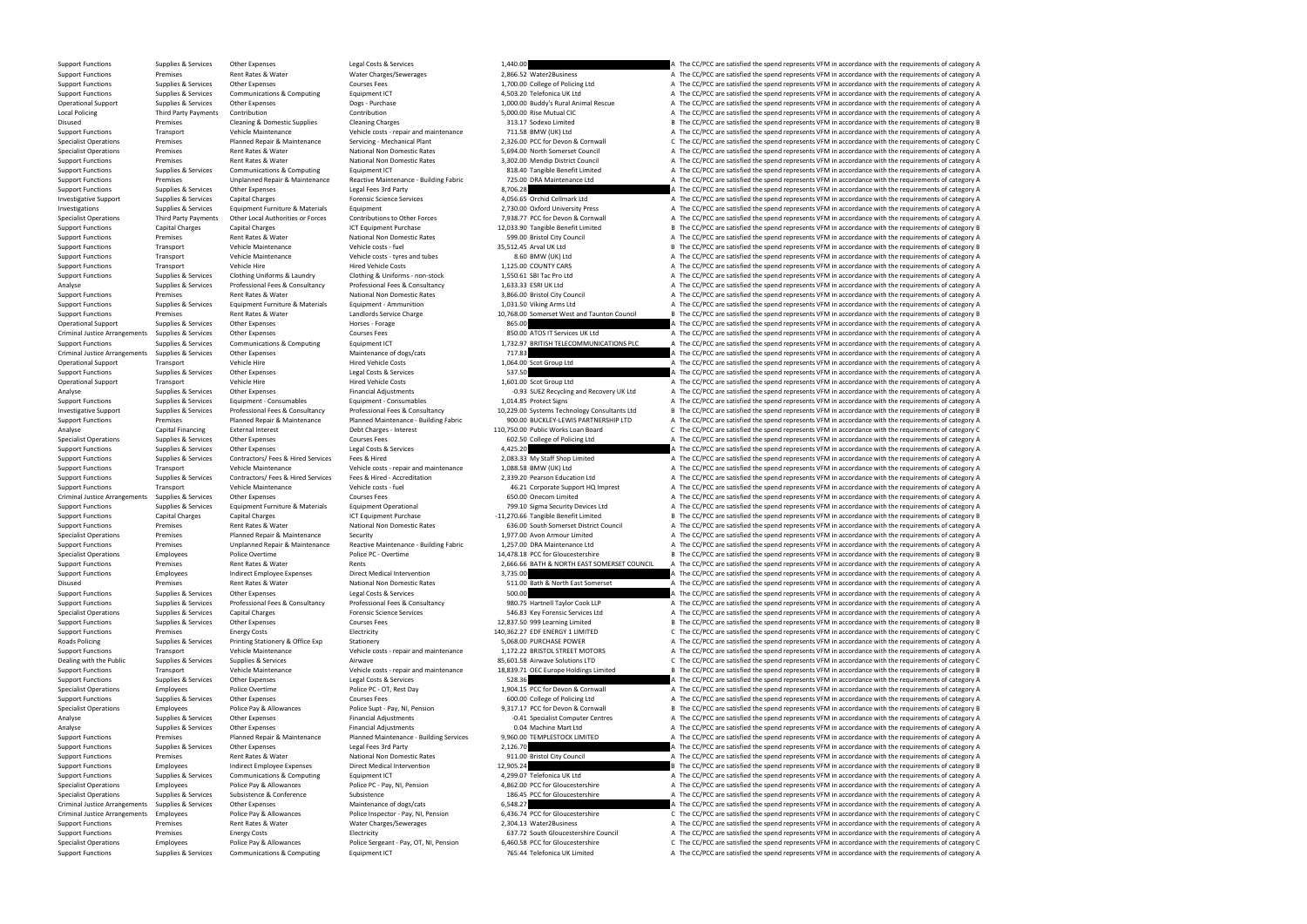Support Functions Supplies & Services Other Expenses Legal Costs & Services 1,440.00 A The CC/PCC are satisfied the spend represents VFM in accordance with the requirements of category A

Support Functions Premises Premises Rent Rates & Water Mater Charges/Sewerages 2,866.52 Water2Business A The CC/PCC are satisfied the spend represents VFM in accordance with the requirements of category A The COVIDENT CHAR Support Functions Supplies & Services Other Expenses Courses Fees Courses Fees 1,700.00 College of Policing Ltd A The CC/PCC are satisfied the spend represents VFM in accordance with the requirements of category A Support Functions Supplies & Services Communications & Computing Equipment ICT 4,503.20 Telefonica UK Ltd A The CC/PCC are satisfied the spend represents VFM in accordance with the requirements of category A Operational Support Supplies & Services Other Expenses Dogs - Purchase Dogs - Purchase 1,000.00 Buddy's Rural Animal Rescue A The CC/PCC are satisfied the spend represents VFM in accordance with the requirements of categor Local Policing Third Party Payments Contribution Contribution Contribution Contribution Contribution Contribution Contribution Contribution 5,000.00 Rise Mutual CIC A The CC/PCC are satisfied the spend represents VFM in ac Disused Premises Cleaning & Domestic Supplies Cleaning Charges Cleaning Charges 313.17 Sodexo Limited B The CC/PCC are satisfied the spend represents VFM in accordance with the requirements of category B Support Functions Transport Support Vehicle Maintenance Vehicle Costs - repair and maintenance 711.58 BMW (UK) Ltd A The CC/PCC are satisfied the spend represents VFM in accordance with the requirements of category A Suppo Specialist Operations Premises Planned Repair & Maintenance Servicing - Mechanical Plant 2,326.00 PCC for Devon & Cornwall C The CC/PCC are satisfied the spend represents VFM in accordance with the requirements of category Premises Premises Rent Rates & Water Mational Non Domestic Rates 5,694.00 North Somerset Council A The CC/PCC are satisfied the spend represents VFM in accordance with the requirements of category A The Crimes Rent Rates R Support Functions Premises Rent Rates & Water National Non Domestic Rates 3,302.00 Mendip District Council A The CC/PCC are satisfied the spend represents VFM in accordance with the requirements of category A Support Functions Supplies & Services Communications & Computing Equipment ICT 818.40 Tangible Benefit Limited A The CC/PCC are satisfied the spend represents VFM in accordance with the requirements of category A Support Eugenical Support Eugenical Support Eugenical Support of the CONSIDERTIES of the Support Eugenical Support Eugenical Premises and the CONSIDERTIES of the CONSIDERTIES of the CONSIDERTIES of the CONSIDERTIES of the Support Functions Supplies & Services Other Expenses Legal Fees 3rd Party and Expenses Legal Fees 3rd Party 8,706.28 A The CC/PCC are satisfied the spend represents VFM in accordance with the requirements of category A Inv Investigative Support Supplies & Services Capital Charges Forensic Science Services Forensic Science Services 4,056.65 Orchid Cellmark Ltd A The CC/PCC are satisfied the spend represents VFM in accordance with the requirem Investigations Supplies & Services Equipment Furniture & Materials Equipment Equipment Equipment Equipment Equipment Equipment Equipment Equipment a Development 2,730.00 Oxford University Press A The CC/PCC are satisfied t Third Party Payments Other Local Authorities or Forces Contributions to Other Forces 7,938.77 PCC for Devon & Cornwall A The CC/PCC are satisfied the spend represents VFM in accordance with the requirements of category A Support Functions Capital Charges Capital Charges Capital Charges ICT Equipment Purchase 12,033.90 Tangible Benefit Limited B The CC/PCC are satisfied the spend represents VFM in accordance with the requirements of categor Support Functions Premises Rent Rates & Water National Non Domestic Rates 599.00 Bristol City Council A The CC/PCC are satisfied the spend represents VFM in accordance with the requirements of category A Support Functions Transport Vehicle Maintenance Vehicle costs - fuel Vehicle costs - fuel 35,512.45 Arval UK Ltd B The CC/PCC are satisfied the spend represents VFM in accordance with the requirements of category B The CON Support Functions Transport Vehicle Maintenance Vehicle costs - tyres and tubes 8.60 BMW (UK) Ltd A The CC/PCC are satisfied the spend represents VFM in accordance with the requirements of category A Support Functions Transport Vehicle Hire Hire Hired Vehicle Costs 1,125.00 COUNTY CARS A The CC/PCC are satisfied the spend represents VFM in accordance with the requirements of category A Support Functions Supplies & Services Clothing Uniforms & Laundry Clothing & Uniforms - non-stock 1,550.61 SBI Tac Pro Ltd A The CC/PCC are satisfied the spend represents VFM in accordance with the requirements of category Analyse Supplies & Services Professional Fees & Consultancy Professional Fees & Consultancy Professional Fees & Consultancy Professional Fees & Consultancy 1,633.33 ESRI UK Ltd A The CC/PCC are satisfied the spend represen Support Functions Premises Premises Rent Rates Rater National Non Domestic Rates 3,866.00 Bristol City Council A The CC/PCC are satisfied the spend represents VFM in accordance with the requirements of category A Support F A The CC/PCC are satisfied the spend represents VFM in accordance with the requirements of category A Support Functions Premises Rent Rates & Water Landlords Service Charge 10,768.00 Somerset West and Taunton Council B The CC/PCC are satisfied the spend represents VFM in accordance with the requirements of category B Operational Support Supplies & Services Other Expenses Horses Forage Horses - Forage 865.00 A The CC/PCC are satisfied the spend represents VFM in accordance with the requirements of category A Criminal Justice Arrangements Supplies & Services Other Expenses Courses Fees Courses Fees 850.00 ATOS IT Services UK Ltd A The CC/PCC are satisfied the spend represents VFM in accordance with the requirements of category Support Functions Supplies & Services Communications & Computing Equipment ICT 1,732.97 BRITISH TELECOMMUNICATIONS PLC A The CC/PCC are satisfied the spend represents VFM in accordance with the requirements of category A T Criminal Justice Arrangements Supplies & Services Other Expenses Maintenance of dogs/cats Maintenance of dogs/cats 717.83 A The CC/PCC are satisfied the spend represents VFM in accordance with the requirements of category Transport Vehicle Hire Vehicle Hired Vehicle Costs 1,064.00 Scot Group Ltd A The CC/PCC are satisfied the spend represents VFM in accordance with the requirements of category A Support Functions Supplies & Services Other Expenses Legal Costs & Services Legal Costs & Services 537.50 A The CC/PCC are satisfied the spend represents VFM in accordance with the requirements of category A Operational Support Transport Vehicle Hire Wehicle Hire Hired Vehicle Costs Hired Vehicle Costs 1,601.00 Scot Group Ltd A The CC/PCC are satisfied the spend represents VFM in accordance with the requirements of category A Analyse Supplies & Services Other Expenses Financial Adjustments Consumables Financial Adjustments -0.93 SUEZ Recycling and Recovery UK Ltd A The CC/PCC are satisfied the spend represents VFM in accordance with the require Supplies & Services Equipment - Consumables Equipment - Consumables 1,014.85 Protect Signs A The CC/PCC are satisfied the spend represents VFM in accordance with the requirements of category A Investigative Support Supplies & Services Professional Fees & Consultancy Professional Fees & Consultancy Professional Fees & Consultancy Professional Fees & Consultancy 20.229.00 Systems Technology Consultants Ltd B The C Support Functions The CC/PCC are satisfied the spend represents VFM in accordance with the requirements of category A<br>Capital Financing External Interest Debt Charges - Interest Debt Charges - Interest 110,750.00 Public Wo Analyse Capital Financing External Interest Debt Charges - Interest 110,750.00 Public Works Loan Board C The CC/PCC are satisfied the spend represents VFM in accordance with the requirements of category C Specialist Operations Supplies & Services Other Expenses Courses Fees Courses Fees 602.50 College of Policing Ltd A The CC/PCC are satisfied the spend represents VFM in accordance with the requirements of category A Suppli Support Functions Supplies & Services Other Expenses Legal Costs & Services 4,425.20 A The CC/PCC are satisfied the spend represents VFM in accordance with the requirements of category A Support Functions Supplies & Services Contractors/ Fees & Hired Services Fees & Hired 2,083.33 My Staff Shop Limited A The CC/PCC are satisfied the spend represents VFM in accordance with the requirements of category A Support Functions Transport Vehicle Maintenance Vehicle costs - repair and maintenance 1,088.58 BMW (UK) Ltd A The CC/PCC are satisfied the spend represents VFM in accordance with the requirements of category A Support Functions Supplies & Services Contractors/ Fees & Hired Services Fees & Hired - Accreditation 2,339.20 Pearson Education Ltd A The CC/PCC are satisfied the spend represents VFM in accordance with the requirements o Support Functions Transport Vehicle Maintenance Vehicle costs - fuel 46.21 Corporate Support HQ Imprest A The CC/PCC are satisfied the spend represents VFM in accordance with the requirements of category A Criminal Justice Arrangements Supplies & Services Other Expenses Courses Fees Courses Fees 650.00 Onecom Limited A The CC/PCC are satisfied the spend represents VFM in accordance with the requirements of category A Support Functions Supplies & Services Equipment Furniture & Materials Equipment Operational Functions and the CO/PCC are satisfied the spend represents VFM in accordance with the requirements of category A Support Function Support Functions Capital Charges Capital Charges Capital Charges ICT Equipment Purchase -11,270.66 Tangible Benefit Limited B The CC/PCC are satisfied the spend represents VFM in accordance with the requirements of catego Support Functions Premises Rent Rates & Water National Non Domestic Rates 636.00 South Somerset District Council A The CC/PCC are satisfied the spend represents VFM in accordance with the requirements of category A Specialist Operations Premises Planned Repair & Maintenance Security Security 1,977.00 Avon Armour Limited A The CC/PCC are satisfied the spend represents VFM in accordance with the requirements of category A Support Funct Support Functions Termises Premises Unplanned Repair & Maintenance Reactive Maintenance - Building Fabric 1,257.00 DRA Maintenance Ltd A The CC/PCC are satisfied the spend represents VFM in accordance with the requirements Specialist Operations Employees Police Overtime Police PC - Overtime Police PC - Overtime 14,478.18 PCC for Gloucestershire B The CC/PCC are satisfied the spend represents VFM in accordance with the requirements of categor Support Functions Premises Rent Rates & Water Rents Rents Rents Rents 2,666.66 BATH & NORTH EAST SOMERSET COUNCIL A The CC/PCC are satisfied the spend represents VFM in accordance with the requirements of category A Support Functions Employees Indirect Employee Expenses Direct Medical Intervention 3,735.00 A The CC/PCC are satisfied the spend represents VFM in accordance with the requirements of category A Disused Premises Premises Rent Rates & Water National Non Domestic Rates 511.00 Bath & North East Somerset A The CC/PCC are satisfied the spend represents VFM in accordance with the requirements of category A Support Functions Supplies & Services Other Expenses Legal Costs & Services A Services Legal Costs & Services Services Services Services Support Functions Supplies & Services Professional Fees & Consultancy Professional Fe Supplies & Services Professional Fees & Consultancy Professional Fees & Consultancy Professional Fees & Consultancy Professional Fees & Consultancy Professional Fees & Consultancy Professional Fees & Consultancy 980.75 Har Specialist Operations Supplies & Services Capital Charges Forensic Science Services Forensic Science Services 546.83 Key Forensic Services Ltd A The CC/PCC are satisfied the spend represents VFM in accordance with the requ Support Functions Supplies & Services Other Expenses Courses Fees Courses Fees 12,837.50 999 Learning Limited B The CC/PCC are satisfied the spend represents VFM in accordance with the requirements of category B Support Fu Support Functions Premises Energy Costs Energy Costs Electricity Electricity Electricity Electricity Electricity 140,362.27 EDF ENERGY 1 LIMITED C The CC/PCC are satisfied the spend represents VFM in accordance with the re Roads Policing Supplies & Services Printing Stationery & Office Exp Stationery Stationery Stationery Stationery Stationery Stationery Stationery Support Functions A The CC/PCC are satisfied the spend represents VFM in acco Support Functions Transport Vehicle Maintenance Vehicle costs - repair and maintenance 1,172.22 BRISTOL STREET MOTORS A The CC/PCC are satisfied the spend represents VFM in accordance with the requirements of category A Dealing with the Public Supplies & Services Supplies & Services Supplies & Services Airwave Airwave Airwave Airwave Solutions Airwave Solutions LTD C The CC/PCC are satisfied the spend represents VFM in accordance with the Support Functions Transport Transport Chicle Maintenance Vehicle Maintenance Vehicle costs - repair and maintenance 18,839.71 OEC Europe Holdings Limited B The CC/PCC are satisfied the spend represents VFM in accordance wi Support Functions Support Functions Support Functions Support Functions Supplies A The CC-PCC are satisfied the spend represents VFM in accordance with the requirements of category A The CC-PCC are satisfied the spend repr Specialist Operations Employees Police Overtime Police PC - OT, Rest Day Police PC - OT, Rest Day 1,904.15 PCC for Devon & Cornwall A The CC/PCC are satisfied the spend represents VFM in accordance with the requirements of Support Functions Supplies & Services Other Expenses Courses Fees Courses Fees 600.00 College of Policing Ltd A The CC/PCC are satisfied the spend represents VFM in accordance with the requirements of category A Specialist Operations Employees Police Pay & Allowances Police Supt - Pay, NI, Pension 9,317.17 PCC for Devon & Cornwall B The CC/PCC are satisfied the spend represents VFM in accordance with the requirements of category B Analyse Supplies & Services Other Expenses Financial Adjustments Financial Adjustments -0.41 Specialist Computer Centres A The CC/PCC are satisfied the spend represents VFM in accordance with the requirements of category A Analyse Supplies & Services Other Expenses Financial Adjustments COM Machine Mart Ltd A The CC/PCC are satisfied the spend represents VFM in accordance with the requirements of category A Support Functions Termises Planned Repair & Maintenance Planned Maintenance - Building Services 9,960.00 TEMPLESTOCK LIMITED A The CC/PCC are satisfied the spend represents VFM in accordance with the requirements of catego Support Functions Supplies & Services Other Expenses Legal Fees 3rd Party 2,126.70 2,126.70 A The CC/PCC are satisfied the spend represents VFM in accordance with the requirements of category A Support Functions Premises Rent Rates & Water National Non Domestic Rates 911.00 Bristol City Council A The CC/PCC are satisfied the spend represents VFM in accordance with the requirements of category A Support Functions Employees Indirect Employee Expenses Direct Medical Intervention 12,905.24 B The CC/PCC are satisfied the spend represents VFM in accordance with the requirements of category B Support Functions Support F Support Functions Supplies & Services Communications & Computing Equipment ICT 4,299.07 Telefonica UK Ltd A The CC/PCC are satisfied the spend represents VFM in accordance with the requirements of category A Specialist Ope Employees Police Pay & Allowances Police Pc - Pay, NI, Pension 4,862.00 PCC for Gloucestershire A The CC/PCC are satisfied the spend represents VFM in accordance with the requirements of category A Specialist Operations Supplies & Services Subsistence Subsistence Subsistence Subsistence Subsistence Subsistence Subsistence a Subsistence Subsistence a Subsistence a Subsistence a Subsistence a Subsistence a Subsistence Criminal Justice Arrangements Supplies & Services Other Expenses Maintenance of dogs/cats Maintenance of dogs/cats 6,548.27 A The CC/PCC are satisfied the spend represents VFM in accordance with the requirements of categor Criminal Justice Arrangements Employees Police Pav & Allowances Police Inspector - Pay, NI, Pension 6,436.74 PCC for Gloucestershire C The CC/PCC are satisfied the spend represents VFM in accordance with the requirements o Support Functions Premises Premises Antent Rates & Water Water Water Charges/Sewerages 2,304.13 Water2Business A The CC/PCC are satisfied the spend represents VFM in accordance with the requirements of category A The CC/PC Premises Energy Costs Electricity Electricity and the Energy Costs Electricity and Electricity and the Stategory A The CC/PCC are satisfied the spend represents VFM in accordance with the requirements of category A Specialist Operations Employees Police Pay & Allowances Police Sergeant - Pay, OT, NI, Pension 6,460.58 PCC for Gloucestershire C The CC/PCC are satisfied the spend represents VFM in accordance with the requirements of cat Support Functions Supplies & Services Communications & Computing Equipment ICT 765.44 Telefonica UK Limited A The CC/PCC are satisfied the spend represents VFM in accordance with the requirements of category A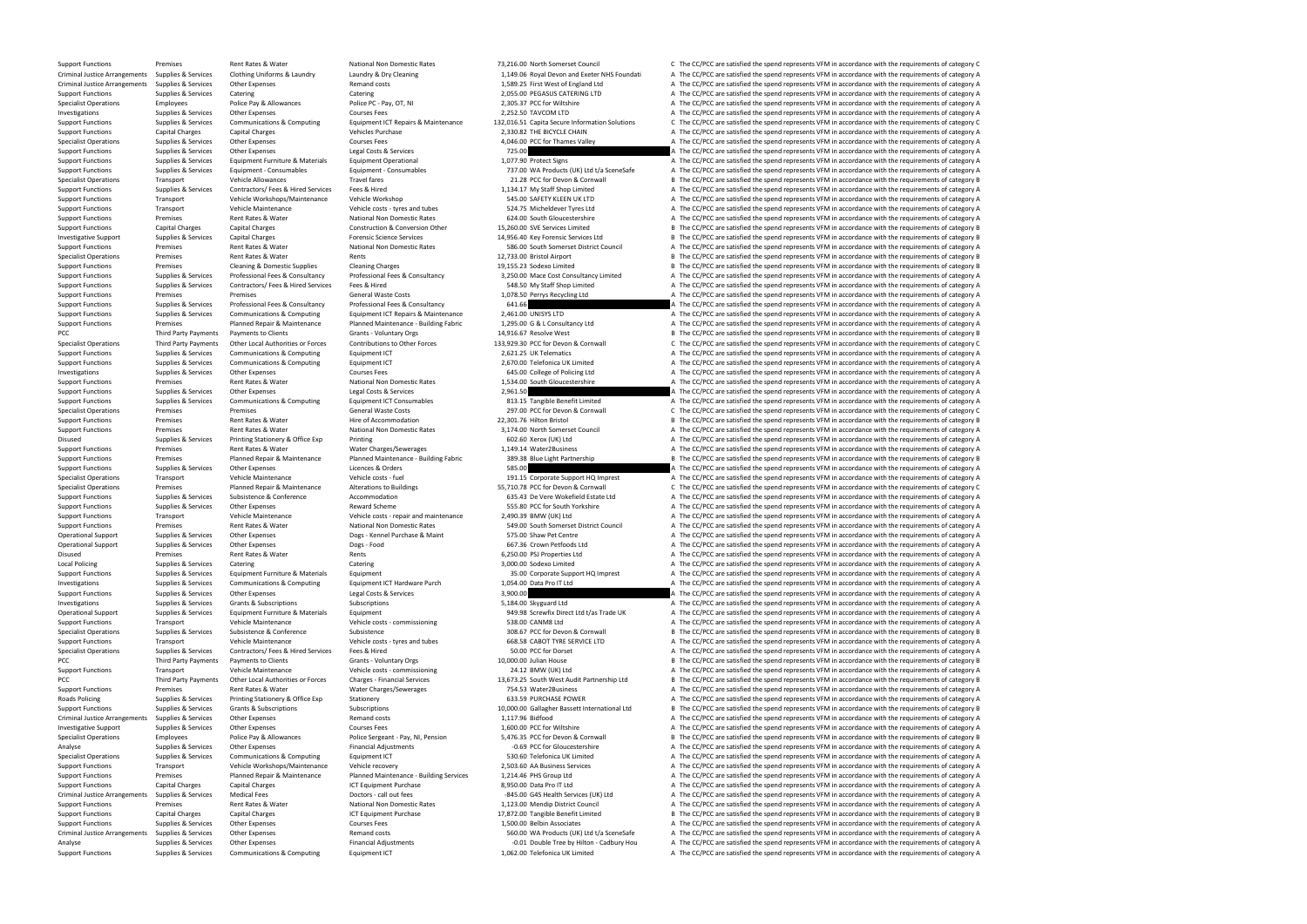Support Functions Supplies & Services Communications & Computing Equipment ICT 1,062.00 Telefonica UK Limited A The CC/PCC are satisfied the spend represents VFM in accordance with the requirements of category A

Analyse Supplies & Services Other Expenses Financial Adjustments Financial Adjustments -0.01 Double Tree by Hilton - Cadbury Hou A The CC/PCC are satisfied the spend represents VFM in accordance with the requirements of ca

Support Functions Premises Rent Rates & Water National Non Domestic Rates 73,216.00 North Somerset Council C The CC/PCC are satisfied the spend represents VFM in accordance with the requirements of category C Criminal Justice Arrangements Supplies & Services Clothing Uniforms & Laundry Laundry & Dry Cleaning and the mand of the mand costs and the mand costs and the mand costs and the mand costs and the mand costs and the mand c Criminal Supplies & Services Other Expenses Material Supplies Arrangements of Criminal Arrangements Services Category A The CC/PCC are satisfied the spend represents VFM in accordance with the requirements of category A Th Support Functions Support Europes Support Functions Support Europes Support Catering Support Europes Catering Support Europes Catering Catering Catering Catering Catering Catering 2,055.00 PEGASUS CATERING LTD A The CC/PCC Specialist Operations Employees Police Pay & Allowances Police PC - Pay, OT, NI 2,305.37 PCC for Wiltshire A The CC/PCC are satisfied the spend represents VFM in accordance with the requirements of category A The Criticali Investigations Supplies & Services Other Expenses Courses Fees Courses Fees 2,252.50 TAVCOM LTD A The CC/PCC are satisfied the spend represents VFM in accordance with the requirements of category A Support Functions Suppor Supplies & Services Communications & Computing Equipment ICT Repairs & Maintenance 132,016.51 Capita Secure Information Solutions C The CC/PCC are satisfied the spend represents VFM in accordance with the requirements of c Support Functions Capital Charges Capital Charges Vehicles Purchase Vehicles Purchase 2,330.82 THE BICYCLE CHAIN A The CC/PCC are satisfied the spend represents VFM in accordance with the requirements of category A Special Specialist Operations Supplies & Services Other Expenses Courses Fees Courses Fees 4,046.00 PCC for Thames Valley A The CC/PCC are satisfied the spend represents VFM in accordance with the requirements of category A Suppor Support Functions Supplies & Services Other Expenses Legal Costs & Services Legal Costs & Services Legal Costs & Services 725.00 A The CC/PCC are satisfied the spend represents VFM in accordance with the requirements of ca Support Functions Supplies & Services Equipment Furniture & Materials Equipment Operational 1,077.90 Protect Signs A The CC/PCC are satisfied the spend represents VFM in accordance with the requirements of category A Support Functions Supplies & Services Faujoment - Consumables Equipment - Consumables Equipment - Consumables Equipment - Consumables Faujoment - Consumables 737.00 WA Products (UK) Ltd t/a SceneSafe A The CC/PCC are satis Specialist Operations Transport Vehicle Allowances Travel fares Travel fares 21.28 PCC for Devon & Cornwall B The CC/PCC are satisfied the spend represents VFM in accordance with the requirements of category B Support Functions Supplies & Services Contractors/ Fees & Hired Services Fees & Hired 1,134.17 My Staff Shop Limited A The CC/PCC are satisfied the spend represents VFM in accordance with the requirements of category A Support Functions Transport Support Transport Vehicle Workshops/Maintenance Vehicle Workshop Support Vehicle Workshop Support Functions A The CC/PCC are satisfied the spend represents VFM in accordance with the requirement Support Functions Transport Support Vehicle Maintenance Vehicle costs - tyres and tubes 524.75 Micheldever Tyres Ltd A The CC/PCC are satisfied the spend represents VFM in accordance with the requirements of category A Sup Support Functions Premises Rent Rates & Water National Non Domestic Rates 624.00 South Gloucestershire A The CC/PCC are satisfied the spend represents VFM in accordance with the requirements of category A Support Functions Capital Charges Capital Charges Capital Charges Construction & Conversion Other 15,260.00 SVE Services Limited B The CC/PCC are satisfied the spend represents VFM in accordance with the requirements of ca Investigative Support Supplies & Services Capital Charges Forensic Science Services Forensic Science Services Ltd B The CC/PCC are satisfied the spend represents VFM in accordance with the requirements of category B Support Functions Premises Rent Rates & Water National Non Domestic Rates 586.00 South Somerset District Council A The CC/PCC are satisfied the spend represents VFM in accordance with the requirements of category A Specialist Operations Premises Rent Rates & Water Rents 12,733.00 Bristol Airport B The CC/PCC are satisfied the spend represents VFM in accordance with the requirements of category B Support Functions Premises Cleaning & Domestic Supplies Cleaning Charges Cleaning Charges 19,155.23 Sodexo Limited B The CC/PCC are satisfied the spend represents VFM in accordance with the requirements of category B Support Functions Supplies & Services Professional Fees & Consultancy Professional Fees & Consultancy Professional Fees & Consultancy Consultancy 3,250.00 Mace Cost Consultancy Limited A The CC/PCC are satisfied the spend Support Functions Supplies & Services Contractors/ Fees & Hired Services Fees & Hired Services Fees & Hired 548.50 My Staff Shop Limited A The CC/PCC are satisfied the spend represents VFM in accordance with the requiremen Support Functions Premises Premises Premises Premises Professional Fees & Consultancy Consultancy Professional Fees & Consultancy Professional Fees & Consultancy Professional Fees & Consultancy Professional Fees & Consulta The CC/PCC are satisfied the spend represents VFM in accordance with the requirements of category A Support Functions Supplies & Services Communications & Computing Equipment ICT Repairs & Maintenance 2,461.00 UNISYS LTD A The CC/PCC are satisfied the spend represents VFM in accordance with the requirements of category A Support Functions Termises Planned Repair & Maintenance Planned Maintenance - Building Fabric 1,295.00 G & L Consultancy Ltd A The CC/PCC are satisfied the spend represents VFM in accordance with the requirements of catego PCC Third Party Payments Payments to Clients Grants - Voluntary Orgs 14,916.67 Resolve West B The CC/PCC are satisfied the spend represents VFM in accordance with the requirements of category B<br>Specialist Operations Bhird Third Party Payments Other Local Authorities or Forces Contributions to Other Forces 133,929.30 PCC for Devon & Cornwall CTHe CC/PCC are satisfied the spend represents VFM in accordance with the requirements of category C<br> Support Functions Supplies & Services Communications & Computing Equipment ICT 2,621.25 UK Telematics A The CC/PCC are satisfied the spend represents VFM in accordance with the requirements of category A Support Functions Supplies & Services Communications & Computing Equipment ICT 2,670.00 Telefonica UK Limited A The CC/PCC are satisfied the spend represents VFM in accordance with the requirements of category A Investigations Supplies & Services Other Expenses Courses Fees Courses Fees Courses Fees 645.00 College of Policing Ltd A The CC/PCC are satisfied the spend represents VFM in accordance with the requirements of category A Support Functions Premises Rent Rates Rent Rates Rater National Non Domestic Rates 1,534.00 South Gloucestershire A The CC/PCC are satisfied the spend represents VFM in accordance with the requirements of category A Suppor Support Functions Supplies & Services Other Expenses Legal Costs & Services 2,961.50 A The CC/PCC are satisfied the spend represents VFM in accordance with the requirements of category A Support Functions Supplies & Servic Support Functions Supplies & Services Communications & Computing Equipment ICT Consumables 813.15 Tangible Benefit Limited A The CC/PCC are satisfied the spend represents VFM in accordance with the requirements of category Specialist Operations Premises Premises Premises Premises Costs General Waste Costs 297.00 PCC for Devon & Cornwall C The CC/PCC are satisfied the spend represents VFM in accordance with the requirements of category C Support Functions Premises Premises Rent Rates & Water Hire of Accommodation Hire of Accommodation 22,301.76 Hilton Bristol B The CC/PCC are satisfied the spend represents VFM in accordance with the requirements of categor Support Functions Premises Rent Rates Rent Rates Rater National Non Domestic Rates 3,174.00 North Somerset Council A The CC/PCC are satisfied the spend represents VFM in accordance with the requirements of category A The C Disused Supplies & Services Printing Stationery & Office Exp Printing Printing Printing Stationery & Office Exp Printing Printing Printing Printing Printing Stationery & Office Exp Printing Mater Charges/Sewerages and a Th Premises Rent Rates & Water Water Charges/Sewerages 1,149.14 Water2Business A The CC/PCC are satisfied the spend represents VFM in accordance with the requirements of category A Support Functions Termises Premises Planned Repair & Maintenance Planned Maintenance - Building Fabric 389.38 Blue Light Partnership B The CC/PCC are satisfied the spend represents VFM in accordance with the requirements o Support Functions Supplies & Services Other Expenses Licences & Orders Corders 585.00 A The CC/PCC are satisfied the spend represents VFM in accordance with the requirements of category A Specialist Operations Transport Vehicle Maintenance Vehicle costs - fuel Vehicle costs - fuel 191.15 Corporate Support HQ Imprest A The CC/PCC are satisfied the spend represents VFM in accordance with the requirements of c Specialist Operations Premises Planned Repair & Maintenance Alterations to Buildings 55,710.78 PCC for Devon & Cornwall C The CC/PCC are satisfied the spend represents VFM in accordance with the requirements of category C Support Functions Supplies & Services Subsistence Subsistence Accommodation Accommodation 635.43 De Vere Wokefield Estate Ltd A The CC/PCC are satisfied the spend represents VFM in accordance with the requirements of categ Support Functions Supplies & Services Other Expenses Reward Scheme Reward Scheme 555.80 PCC for South Yorkshire A The CC/PCC are satisfied the spend represents VFM in accordance with the requirements of category A Support Functions Transport Vehicle Maintenance Vehicle costs - repair and maintenance 2,490.39 BMW (UK) Ltd A The CC/PCC are satisfied the spend represents VFM in accordance with the requirements of category A Support Functions Premises Premises Rent Rates & Water National Non Domestic Rates 199.00 South Somerset District Council A The CC/PCC are satisfied the spend represents VFM in accordance with the requirements of category Operational Support Supplies & Services Other Expenses Dogs - Kennel Purchase & Maint Dogs - Kennel Purchase & Maint 1997 1997 1998 - The CC/PCC are satisfied the spend represents VFM in accordance with the requirements of Operational Support Support Support Support Support Support Support Support Support Support Support Support Support Support A The CC/PCC are satisfied the spend represents VFM in accordance with the requirements of categor Disused Premises Premises Rent Rates & Water Rents Rents Rents Rents A The CC/PCC are satisfied the spend represents VFM in accordance with the requirements of category A Local Policing Supplies & Services Catering Catering Catering Catering S,000.00 Sodexo Limited A The CC/PCC are satisfied the spend represents VFM in accordance with the requirements of category A Support Functions Supplies & Services Equipment Furniture & Materials Equipment 35.00 Corporate Support HQ Imprest A The CC/PCC are satisfied the spend represents VFM in accordance with the requirements of category A Investigations Supplies & Services Communications & Computing Equipment ICT Hardware Purch 1,054.00 Data Pro IT Ltd A The CC/PCC are satisfied the spend represents VFM in accordance with the requirements of category A Supp Supplies & Services Other Expenses Legal Costs & Services 3,900.00 3,900.00 A The CC/PCC are satisfied the spend represents VFM in accordance with the requirements of category A Investigations Supplies & Services Grants & Subscriptions Subscriptions Subscriptions Subscriptions Subscriptions Subscriptions Subscriptions Subscriptions Subscriptions Subscriptions Subscriptions Subscriptions Subscripti Operational Support Supplies & Services Equipment Furniture & Materials Equipment exterials Equipment Support Support A The CC/PCC are satisfied the spend represents VFM in accordance with the requirements of category A Support Functions Transport Vehicle Maintenance Vehicle costs - commissioning Vehicle costs - commissioning Vehicle costs - commissioning Support A The CC/PCC are satisfied the spend represents VFM in accordance with the r Subsistence 308.67 PCC for Devon & Cornwall B The CC/PCC are satisfied the spend represents VFM in accordance with the requirements of category B<br>Vehicle costs - tyres and tubes 668.58 CABOT TYRE SERVICE LTD A The CC/PCC a Support Functions Transport Vehicle Maintenance Vehicle costs - tyres and tubes 668.58 CABOT TYRE SERVICE LTD A The CC/PCC are satisfied the spend represents VFM in accordance with the requirements of category A Specialist Operations Supplies & Services Contractors/ Fees & Hired Services Fees & Hired 50.00 PCC for Dorset A The CC/PCC are satisfied the spend represents VFM in accordance with the requirements of category A PCC Third Party Payments Payments to Clients Grants Grants - Voluntary Orgs 10,000.00 Julian House B The CC/PCC are satisfied the spend represents VFM in accordance with the requirements of category B Support Functions Tra Transport Vehicle Maintenance Vehicle costs - commissioning 24.12 BMW (UK) Ltd A The CC/PCC are satisfied the spend represents VFM in accordance with the requirements of category A Third Party Payments of the requirements Third Party Payments Other Local Authorities or Forces Charges - Financial Services 13,673.25 South West Audit Partnership Ltd BThe CC/PCC are satisfied the spend represents VFM in accordance with the requirements of categ Support Functions Premises Premises Rent Rates & Water Water Water Charges/Sewerages 754.53 Water2Business A The CC/PCC are satisfied the spend represents VFM in accordance with the requirements of category A Roads Policin Roads Policing Supplies & Services Printing Stationery & Office Exp Stationery Stationery Stationery 631.59 PURCHASE POWER A The CC/PCC are satisfied the spend represents VFM in accordance with the requirements of category Support Functions Supplies & Services Grants & Subscriptions Subscriptions Subscriptions Subscriptions Subscriptions and Costs and the mediance of category B The CC/PCC are satisfied the spend represents VFM in accordance Criminal Justice Arrangements Supplies & Services Other Expenses Remand costs Remand costs Remand costs 1,117.96 Bidfood 1,117.96 Bidfood A The CC/PCC are satisfied the spend represents VFM in accordance with the requireme Investigative Support Supplies & Services Other Expenses Courses Fees Courses Fees 1,600.00 PCC for Wiltshire A The CC/PCC are satisfied the spend represents VFM in accordance with the requirements of category A Specialist Operations Employees Police Pay & Allowances Police Sergeant - Pay, NI, Pension 5,476.35 PCC for Devon & Cornwall B The CC/PCC are satisfied the spend represents VFM in accordance with the requirements of catego Analyse Supplies & Services Other Expenses Financial Adjustments -0.69 PCC for Gloucestershire A The CC/PCC are satisfied the spend represents VFM in accordance with the requirements of category A Specialist Operations Supplies & Services Communications & Computing Equipment ICT 530.60 Telefonica UK Limited A The CC/PCC are satisfied the spend represents VFM in accordance with the requirements of category A Support Functions Transport Support Vehicle Workshops/Maintenance Vehicle recovery 2,503.60 AA Business Services A The CC/PCC are satisfied the spend represents VFM in accordance with the requirements of category A Support Support Functions Premises Planned Repair & Maintenance Planned Maintenance - Building Services 1,214.46 PHS Group Ltd A The CC/PCC are satisfied the spend represents VFM in accordance with the requirements of category A S A The CC/PCC are satisfied the spend represents VFM in accordance with the requirements of category A Criminal Justice Arrangements Supplies & Services Medical Fees Doctors-call out fees Doctors -call out fees Doctors -call out fees -845.00 G4S Health Services (UK) Ltd A The CC/PCC are satisfied the spend represents VFM in Support Functions Premises Rent Rates Rent Rates Rater National Non Domestic Rates 1,123.00 Mendip District Council A The CC/PCC are satisfied the spend represents VFM in accordance with the requirements of category A Support Functions Capital Charges Capital Charges ICT Equipment Purchase 17,872.00 Tangible Benefit Limited B The CC/PCC are satisfied the spend represents VFM in accordance with the requirements of category B Support Functions Supplies & Services Other Expenses Courses Fees Courses Fees 1,500.00 Belbin Associates A The CC/PCC are satisfied the spend represents VFM in accordance with the requirements of category A Courses Pees 1 Criminal During Supplies Arrangements Supplies are Supplies and the Supplies A The CC/PCC are satisfied the spend represents VFM in accordance with the requirements of category A The CC/PCC are satisfied the spend represen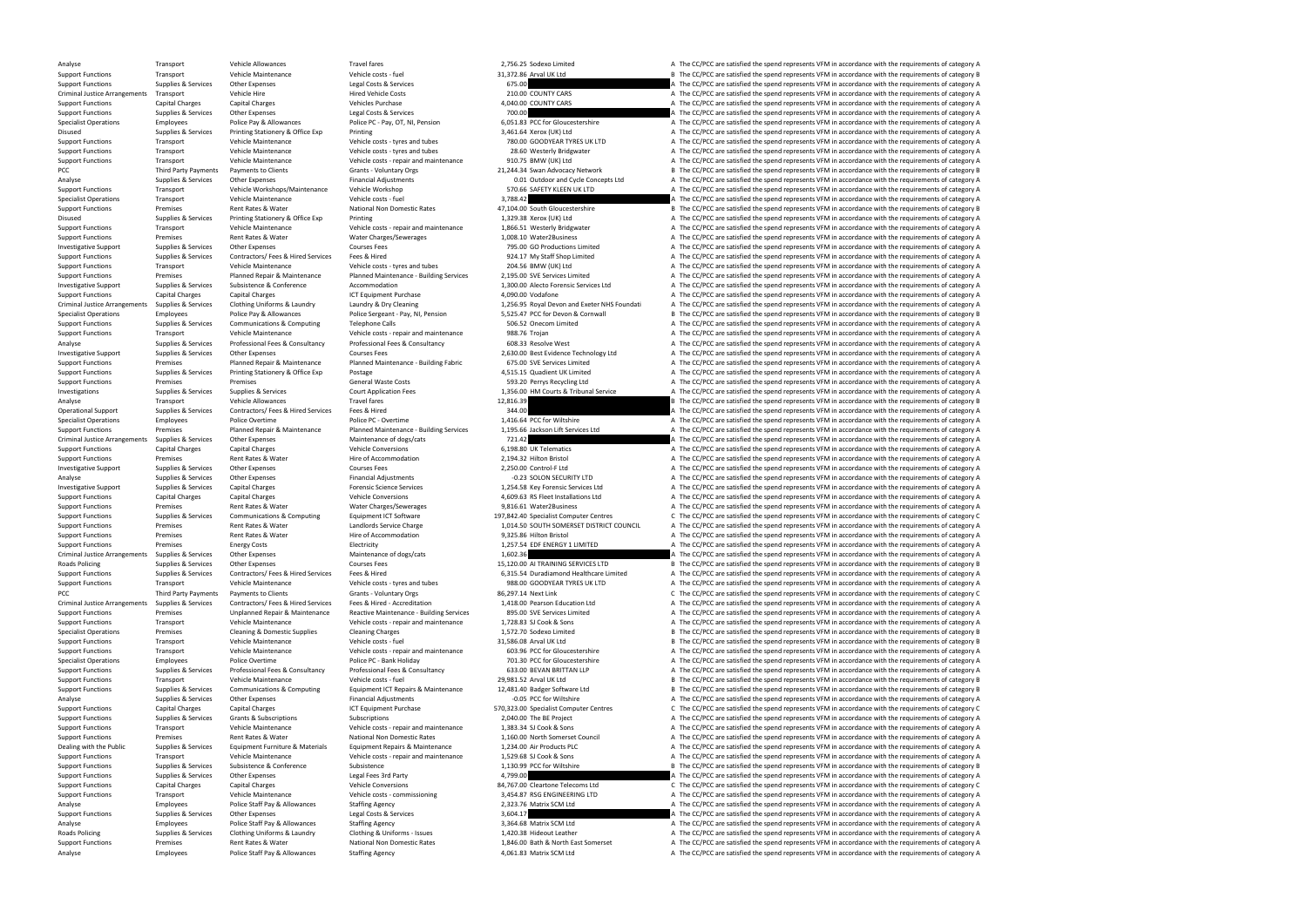Analyse Employees Police Staff Pay & Allowances Staffing Agency 4,061.83 Matrix SCM Ltd A The CC/PCC are satisfied the spend represents VFM in accordance with the requirements of category A

Analyse Transport Vehicle Allowances Travel fares Travel fares 2,756.25 Sodexo Limited A The CC/PCC are satisfied the spend represents VFM in accordance with the requirements of category A

Support Functions Transport Vehicle Maintenance Vehicle Costs - fuel 31,372.86 Arval UK Ltd B The CC/PCC are satisfied the spend represents VFM in accordance with the requirements of category B The CONDEC Arrabitations Sup Support Functions Supplies & Services Other Expenses Legal Costs & Services Legal Costs & Services Creations Costs are a media on the costs of category A The CC/PCC are satisfied the spend represents VFM in accordance with Criminal Justice Arrangements Transport Vehicle Hire Vehicle Hire Hired Vehicle Costs Hired Vehicle Costs and the COUNTY CARS A The CC/PCC are satisfied the spend represents VFM in accordance with the requirements of categ Support Functions Capital Charges Capital Charges Vehicles Purchase Vehicles Purchase 4,040.00 COUNTY CARS A The CC/PCC are satisfied the spend represents VFM in accordance with the requirements of category A The COUNTY CA Supplies & Services Other Expenses Legal Costs & Services 700.00 700.00 A The CC/PCC are satisfied the spend represents VFM in accordance with the requirements of category A Specialist Operations Employees Police Pay & Allowances Police PC - Pay, OT, NI, Pension 6,051.83 PCC for Gloucestershire A The CC/PCC are satisfied the spend represents VFM in accordance with the requirements of category Disused Supplies & Services Printing Stationery & Office Exp Printing Stationery & Office Exp Printing 3,461.64 Xerox (UK) Ltd A The CC/PCC are satisfied the spend represents VFM in accordance with the requirements of cate Support Functions Transport Support Vehicle Maintenance Vehicle costs - tyres and tubes 780.00 GOODYEAR TYRES UK LTD A The CC/PCC are satisfied the spend represents VFM in accordance with the requirements of category A Sup Support Functions Transport Maintenance Vehicle Maintenance Vehicle costs - tyres and tubes 28.60 Westerly Bridgwater A The CC/PCC are satisfied the spend represents VFM in accordance with the requirements of category A Th Support Functions Transport Vehicle Maintenance Vehicle costs - repair and maintenance 910.75 BMW (UK) Ltd A The CC/PCC are satisfied the spend represents VFM in accordance with the requirements of category A PCC Third Party Payments Payments to Clients Grants - Voluntary Orgs 21,244.34 Swan Advocacy Network B The CC/PCC are satisfied the spend represents VFM in accordance with the requirements of category B Analyse Supplies & Services Other Expenses Financial Adjustments Concepts 1td A The CC/PCC are satisfied the spend represents VFM in accordance with the requirements of category A Support Functions Transport Support Category A Vehicle Workshops/Maintenance Vehicle Workshop 570.66 SAFETY KLEEN UK LTD A The CC/PCC are satisfied the spend represents VFM in accordance with the requirements of category A Specialist Operations Transport Service Maintenance Vehicle costs - fuel Vehicle Costs - fuel 3,788.42 A The CC/PCC are satisfied the spend represents VFM in accordance with the requirements of category A Support Functions Support Functions Premises Rent Rates Rent Rates Rater National Non Domestic Rates 47,104.00 South Gloucestershire B The CC/PCC are satisfied the spend represents VFM in accordance with the requirements of category B Disus Disused Supplies & Services Printing Stationery & Office Exp Printing Printing 1,329.38 Xerox (UK) Ltd A The CC/PCC are satisfied the spend represents VFM in accordance with the requirements of category A Support Functions Transport Vehicle Maintenance Vehicle Costs - repair and maintenance 1,866.51 Westerly Bridgwater A The CC/PCC are satisfied the spend represents VFM in accordance with the requirements of category A The Support Functions Premises Rent Rates & Water Water Water Charges/Sewerages 1,008.10 Water2Business A The CC/PCC are satisfied the spend represents VFM in accordance with the requirements of category A Investigative Support Supplies & Services Other Expenses Courses Fees Courses Fees 795.00 GO Productions Limited A The CC/PCC are satisfied the spend represents VFM in accordance with the requirements of category A Support Functions Supplies & Services Contractors/ Fees & Hired Services Fees & Hired 924.17 My Staff Shop Limited A The CC/PCC are satisfied the spend represents VFM in accordance with the requirements of category A Support Functions Transport Vehicle Maintenance Vehicle costs - tyres and tubes 204.56 BMW (UK) Ltd A The CC/PCC are satisfied the spend represents VFM in accordance with the requirements of category A Support Functions Termises Premises Planned Repair & Maintenance Planned Maintenance - Building Services 2,195.00 SVE Services Limited A The CC/PCC are satisfied the spend represents VFM in accordance with the requirements Investigative Support Supplies & Services Subsistence & Conference Accommodation Accommodation 1,300.00 Alecto Forensic Services Ltd A The CC/PCC are satisfied the spend represents VFM in accordance with the requirements o Support Functions Capital Charges Capital Charges Capital Charges ICT Equipment Purchase ICT Equipment Purchase 4,090.00 Vodafone A The CC/PCC are satisfied the spend represents VFM in accordance with the requirements of c Laundry & Dry Cleaning equirements of category A 11256.95 Royal Devon and Exeter NHS Foundati A The CC/PCC are satisfied the spend represents VFM in accordance with the requirements of category A Police Sergeant - Pay, NI, Specialist Operations Supplyces Employees Police Pay & Allowances Police Sergeant - Pay, NI, Pension 5,525.47 PCC for Devon & Cornwall Burde By Definited the spend represents VFM in accordance with the requirements of cate Support Functions Supplies & Services Communications & Computing Telephone Calls 506.52 Onecom Limited A The CC/PCC are satisfied the spend represents VFM in accordance with the requirements of category A Support Functions Transport Vehicle Maintenance Vehicle costs - repair and maintenance 988.76 Troian A The CC/PCC are satisfied the spend represents VFM in accordance with the requirements of category A Analyse Supplies & Services Professional Fees & Consultancy Professional Fees & Consultancy Professional Fees & Consultancy A The COR.33 Resolve West A The CC/PCC are satisfied the spend represents VFM in accordance with t Investigative Support Supplies & Services Other Expenses Courses Fees Courses Fees 2,630.00 Best Evidence Technology Ltd A The CC/PCC are satisfied the spend represents VFM in accordance with the requirements of category A Support Functions Premises Planned Repair & Maintenance Planned Maintenance - Building Fabric 675.00 SVE Services Limited A The CC/PCC are satisfied the spend represents VFM in accordance with the requirements of category Support Functions Supplies & Services Printing Stationery & Office Exp Postage Postage Postage Postage 1,515.15 Quadient UK Limited A The CC/PCC are satisfied the spend represents VFM in accordance with the requirements of Support Functions Premises Premises Premises Premises Supplies & Services General Waste Costs General Waste Costs Court Application Fees Supplies A Service Costs Court Application Fees Supplies A Service Supplies A Service Investigations Supplies A The CC/PCC are satisfied the spend represents VFM in accordance with the requirements of category A The CC/PCC are satisfied the spend represents VFM in accordance with the requirements of categor Analyse Transport Vehicle Allowances Travel fares Travel fares 12,816.39 B The CC/PCC are satisfied the spend represents VFM in accordance with the requirements of category B Operational Support Supplies & Services Contractors/ Fees & Hired Services Fees & Hired 344.00 A The CC/PCC are satisfied the spend represents VFM in accordance with the requirements of category A Specialist Operations Employees Police Overtime Police PC - Overtime Police PC - Overtime 1,416.64 PCC for Wiltshire A The CC/PCC are satisfied the spend represents VFM in accordance with the requirements of category A Support Functions Premises Premises Planned Repair & Maintenance Planned Maintenance - Building Services 1,195.66 Jackson Lift Services Ltd A The CC/PCC are satisfied the spend represents VFM in accordance with the require Criminal Supplies & Services Other Expenses Maintenance of dogs/cats 721.42 A The CC/PCC are satisfied the spend represents VFM in accordance with the requirements of category A The CC/PCC are satisfied the spend represent Support Functions Capital Charges Capital Charges Vehicle Conversions Vehicle Conversions 6,198.80 UK Telematics A The CC/PCC are satisfied the spend represents VFM in accordance with the requirements of category A Support Premises Rent Rates & Water Hire of Accommodation Hire of Accommodation 2,194.32 Hilton Bristol A The CC/PCC are satisfied the spend represents VFM in accordance with the requirements of category A Investigative Support Supplies & Services Other Expenses Courses Fees Courses Fees 2,250.00 Control-F Ltd A The CC/PCC are satisfied the spend represents VFM in accordance with the requirements of category A The A The CC/P Analyse Supplies & Services Other Expenses Financial Adjustments Financial Adjustments -0.23 SOLON SECURITY LTD A The CC/PCC are satisfied the spend represents VFM in accordance with the requirements of category A Investigative Support Supplies & Services Capital Charges Forensic Science Services Capital Charges Forensic Science Services 1,254.58 Key Forensic Services Ltd A The CC/PCC are satisfied the spend represents VFM in accord Support Functions Capital Charges Capital Charges Vehicle Conversions Vehicle Conversions 4,609.63 RS Fleet Installations Ltd A The CC/PCC are satisfied the spend represents VFM in accordance with the requirements of categ Support Functions Premises Premises Rent Rates & Water Water Water Charges/Sewerages 9,816.61 Water2Business A The CC/PCC are satisfied the spend represents VFM in accordance with the requirements of category A Support Fun Support Functions Supplies & Services Communications & Computing Equipment ICT Software 197,842.40 Specialist Computer Centres Computer Centres Computer Centres Computer Centres Computer Centres Computer Centres Computer C Support Functions Premises Premises Rent Rates & Water Landlords Service Charge 1,014.50 SOUTH SOMERSET DISTRICT COUNCIL A The CC/PCC are satisfied the spend represents VFM in accordance with the requirements of category A Support Functions Premises Premises Anticons Rent Rates & Water Hire of Accommodation Hire of Accommodation 9,325.86 Hilton Bristol A The CC/PCC are satisfied the spend represents VFM in accordance with the requirements of Support Functions Premises Energy Costs Electricity Electricity Electricity 1,257.54 EDF ENERGY 1 LIMITED A The CC/PCC are satisfied the spend represents VFM in accordance with the requirements of category A Criminal Justice Arrangements Supplies & Services Other Expenses Maintenance of dogs/cats Maintenance of dogs/cats 1,602.36 A The CC/PCC are satisfied the spend represents VFM in accordance with the requirements of categor Roads Policing Supplies & Services Other Expenses Courses Fees Courses Fees 15,120.00 AI TRAINING SERVICES LTD B The CC/PCC are satisfied the spend represents VFM in accordance with the requirements of category B Support Functions Supplies & Services Contractors/ Fees & Hired Services Fees & Hired 631554 Duradiamond Healthcare Limited A The CC/PCC are satisfied the spend represents VEM in accordance with the requirements of categor Support Functions Transport Vehicle Maintenance Vehicle costs - tyres and tubes 988.00 GOODYEAR TYRES UK LTD A The CC/PCC are satisfied the spend represents VFM in accordance with the requirements of category A PCC Third Party Payments Payments to Clients Grants - Voluntary Orgs 86,297.14 Next Link C The CC/PCC are satisfied the spend represents VFM in accordance with the requirements of category C Criminal Justice Arrangements Supplies & Services Contractors/ Fees & Hired Services Fees & Hired - Accreditation 1,418.00 Pearson Education Ltd A The CC/PCC are satisfied the spend represents VFM in accordance with the re Support Functions Termises Premises Unplanned Repair & Maintenance Reactive Maintenance - Building Services 895.00 SVE Services Limited A The CC/PCC are satisfied the spend represents VFM in accordance with the requirement Support Functions Transport Vehicle Maintenance Vehicle costs - repair and maintenance 1,728.83 SJ Cook & Sons A The CC/PCC are satisfied the spend represents VFM in accordance with the requirements of category A Specialis Premises Cleaning & Domestic Supplies Cleaning Charges Cleaning Charges 1,572.70 Sodexo Limited B The CC/PCC are satisfied the spend represents VFM in accordance with the requirements of category B Support Functions Transport Vehicle Maintenance Vehicle costs - fuel 31,586.08 Arval UK Ltd B The CC/PCC are satisfied the spend represents VFM in accordance with the requirements of category B Support Functions Transport Vehicle Maintenance Vehicle costs - repair and maintenance 603.96 PCC for Gloucestershire A The CC/PCC are satisfied the spend represents VFM in accordance with the requirements of category A Specialist Operations Employees Police Overtime Police PC - Bank Holiday Police PC - Bank Holiday 701.30 PCC for Gloucestershire A The CC/PCC are satisfied the spend represents VFM in accordance with the requirements of ca Support Functions Supplies & Services Professional Fees & Consultancy Professional Fees & Consultancy Professional Fees & Consultancy Professional Fees & Consultancy 633.00 BEVAN BRITTAN LLP A The CC/PCC are satisfied the Transport Support Vehicle Maintenance Vehicle costs - fuel 29,981.52 Arval UK Ltd B The CC/PCC are satisfied the spend represents VFM in accordance with the requirements of category B Supplies & Services Communications & C Support Functions Supplies & Services Communications & Computing Equipment ICT Repairs & Maintenance 12,481.40 Badger Software Ltd B The CC/PCC are satisfied the spend represents VFM in accordance with the requirements of Analyse Supplies & Services Other Expenses Financial Adjustments -0.05 PCC for Wiltshire -0.05 PCC for Wiltshire -0.05 PCC for Wiltshire A The CC/PCC are satisfied the spend represents VFM in accordance with the requiremen Support Functions Capital Charges Capital Charges Capital Charges ICT Equipment Purchase ICT Equipment Purchase STO,323.00 Specialist Computer Centres C The CC/PCC are satisfied the spend represents VFM in accordance with Support Functions Supplies & Services Grants & Subscriptions Subscriptions Subscriptions Subscriptions 2,040.00 The BE Project A The CC/PCC are satisfied the spend represents VFM in accordance with the requirements of cate Support Functions Transport Vehicle Maintenance Vehicle costs - repair and maintenance 1,383.34 SJ Cook & Sons A The CC/PCC are satisfied the spend represents VFM in accordance with the requirements of category A Support Functions Premises Rent Rates & Water National Non Domestic Rates 1,160.00 North Somerset Council A The CC/PCC are satisfied the spend represents VFM in accordance with the requirements of category A Dealing with the Public Supplies & Services Equipment Furniture & Materials Equipment Repairs & Maintenance 1.234.00 Air Products PLC. A The CC/PCC are satisfied the spend represents VFM in accordance with the requirements Support Functions Transport Vehicle Maintenance Vehicle costs - repair and maintenance 1,529.68 SJ Cook & Sons A The CC/PCC are satisfied the spend represents VFM in accordance with the requirements of category A Support Functions Supplies & Services Subsistence Subsistence Subsistence Subsistence Subsistence Subsistence<br>Support Functions Supplies & Services Other Expenses Lear Fees 3rd Party and a a service and a service and the C Support Functions Supplies & Services Other Expenses Legal Fees 3rd Party and A 799.00 A The CC/PCC are satisfied the spend represents VFM in accordance with the requirements of category A Support Functions Capital Charges Support Functions Capital Charges Capital Charges Capital Charges Capital Charges Vehicle Societis Vehicle Conversions 84,767.00 Cleartone Telecoms Ltd C The CC/PCC are satisfied the spend represents VFM in accordance with Support Functions Transport Support Vehicle Maintenance Vehicle Costs - commissioning 3,454.87 RSG ENGINEERING LTD A The CC/PCC are satisfied the spend represents VFM in accordance with the requirements of category A That Analyse Employees Police Staff Pay & Allowances Staffing Agency 2,323.76 Matrix SCM Ltd A The CC/PCC are satisfied the spend represents VFM in accordance with the requirements of category A Support Functions Supplies & Services Other Expenses Legal Costs & Services 1997 Costs 2001 2013 3,604.17 A The CC/PCC are satisfied the spend represents VFM in accordance with the requirements of category A A The CAPCC ar Analyse Employees Police Staff Pay & Allowances Staffing Agency 3,364.68 Matrix SCM Ltd A The CC/PCC are satisfied the spend represents VFM in accordance with the requirements of category A Roads Policing Supplies & Services Clothing Uniforms & Laundry Clothing & Uniforms - Issues 1,420.38 Hideout Leather A The CC/PCC are satisfied the spend represents VFM in accordance with the requirements of category A Support Functions Premises Rent Rates & Water National Non Domestic Rates 1,846.00 Bath & North East Somerset A The CC/PCC are satisfied the spend represents VFM in accordance with the requirements of category A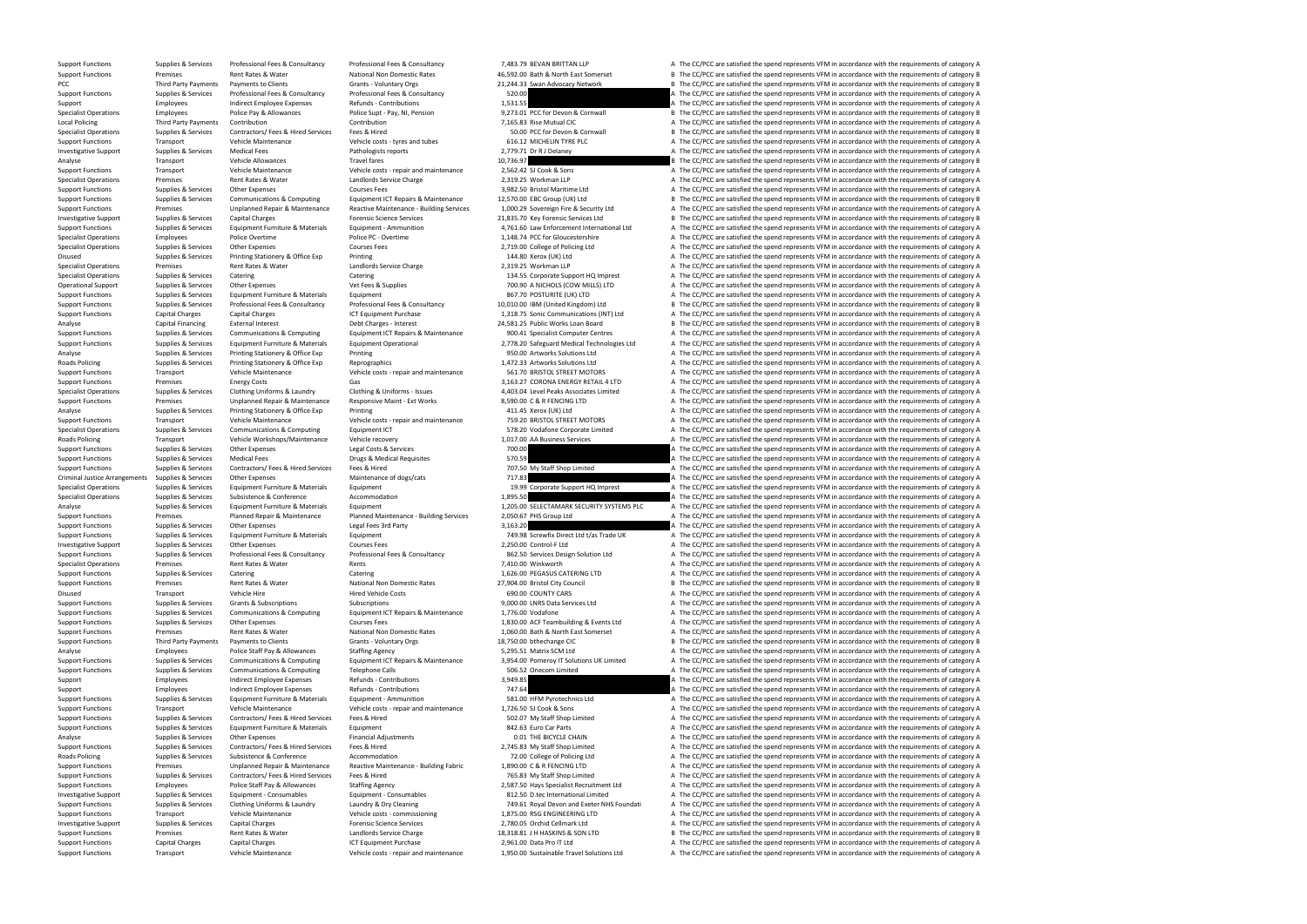Support Functions Supplies & Services Professional Fees & Consultancy Professional Fees & Consultancy Professional Fees & Consultancy Professional Fees & Consultancy Professional Fees & Consultancy 7,483.79 BEVAN BRITTAN L

Support Functions Premises Premises Rent Rates & Water National Non Domestic Rates 46,592.00 Bath & North East Somerset B The CC/PCC are satisfied the spend represents VFM in accordance with the requirements of category B PCC Third Party Payments Payments to Clients Grants - Voluntary Orgs 21,244.33 Swan Advocacy Network B The CC/PCC are satisfied the spend represents VFM in accordance with the requirements of category B Support Functions Supplies & Services Professional Fees & Consultancy Professional Fees & Consultancy Professional Fees & Consultancy Professional Fees & Consultancy 520.00 A The CC/PCC are satisfied the spend represents V Support Employees Support Employees and indirect Employee Expenses Refunds - Contributions Refunds - Contributions 1,531.55 A The CC/PCC are satisfied the spend represents VFM in accordance with the requirements of categor Specialist Operations Employees Police Pay & Allowances Police Supt - Pay, NI, Pension 9,273.01 PCC for Devon & Cornwall B The CC/PCC are satisfied the spend represents VFM in accordance with the requirements of category B Local Policing Third Party Payments Contribution Contribution Contribution Contribution Contribution Contribution Contribution Contribution Contribution 7,165.83 Rise Mutual CIC A The CC/PCC are satisfied the spend represe Specialist Operations Supplies & Services Contractors/ Fees & Hired Services Fees & Hired Services Fees & Hired 50.00 PCC for Devon & Cornwall B The CC/PCC are satisfied the spend represents VFM in accordance with the requ Support Functions Transport Vehicle Maintenance Vehicle Costs - tyres and tubes 616.12 MICHELIN TYRE PLC A The CC/PCC are satisfied the spend represents VFM in accordance with the requirements of category A Investigative S Investigative Support Supplies & Services Medical Fees Pathologists reports Pathologists reports 2,779.71 Dr R J Delaney A The CC/PCC are satisfied the spend represents VFM in accordance with the requirements of category A Analyse Transport Crass of Category B Travel fares Travel fares Travel fares 10,736.97 B The CC/PCC are satisfied the spend represents VFM in accordance with the requirements of category B S The CC/PCC are satisfied the sp Support Functions Transport Vehicle Maintenance Vehicle costs - repair and maintenance 2,562.42 SL Cook & Sons A The CC/PCC are satisfied the spend represents VFM in accordance with the requirements of category A Specialist Operations Premises Rent Rates & Water Landlords Service Charge 2,319.25 Workman LLP A The CC/PCC are satisfied the spend represents VFM in accordance with the requirements of category A Support Functions Supplies & Services Other Expenses Courses Fees Courses Fees 3,982.50 Bristol Maritime Ltd A The CC/PCC are satisfied the spend represents VFM in accordance with the requirements of category A Support Fun Supplies & Services Communications & Computing Equipment ICT Repairs & Maintenance 12,570.00 EBC Group (UK) Ltd Basistics Bureauty Ltd Basistics Bureautic Bureauty Ltd Basistics Bureauty Ltd Basistics Computing Computing S Support Functions Premises Premises Unplanned Repair & Maintenance Reactive Maintenance - Building Services 1,000.29 Sovereign Fire & Security Ltd A The CC/PCC are satisfied the spend represents VFM in accordance with the Investigative Support Supplies & Services Capital Charges Forensic Science Services Equiportes 21,835.70 Key Forensic Services Ltd B The CC/PCC are satisfied the spend represents VFM in accordance with the requirements of Support Functions Supplies & Services Equipment Furniture & Materials Equipment - Ammunition and A,761.60 Law Enforcement International Ltd A The CC/PCC are satisfied the spend represents VFM in accordance with the require Specialist Operations Employees Police Overtime Police PC - Overtime Police PC - Overtime 1,148.74 PCC for Gloucestershire A The CC/PCC are satisfied the spend represents VFM in accordance with the requirements of category Specialist Operations Supplies & Services Other Expenses Courses Fees Courses Fees 2,719.00 College of Policing Ltd A The CC/PCC are satisfied the spend represents VFM in accordance with the requirements of category A Dist Disused Supplies & Services Printing Stationery & Office Exp Printing Printing 144.80 Xerox (UK) Ltd A The CC/PCC are satisfied the spend represents VFM in accordance with the requirements of category A Specialist Operations Premises Rent Rates & Water Landlords Service Charge 2,319.25 Workman LLP A The CC/PCC are satisfied the spend represents VFM in accordance with the requirements of category A Specialist Operations Supplies & Services Catering Catering Catering Catering Catering Catering Catering Catering Catering Catering Catering Catering Catering Supplies Category A The CC/PCC are satisfied the spend represen Supplies & Services Other Expenses Vet Fees & Supplies Vet Fees & Supplies 700.90 A NICHOLS (COW MILLS) LTD A The CC/PCC are satisfied the spend represents VFM in accordance with the requirements of category A Supplies & S Support Functions Supplies & Services Equipment Furniture & Materials Equipment And Equipment Equipment Equipment A The CONSTURITE (UK) LTD A The CC/PCC are satisfied the spend represents VFM in accordance with the require B The CC/PCC are satisfied the spend represents VFM in accordance with the requirements of category B Support Functions Capital Charges Capital Charges Capital Charges ICT Equipment Purchase 1,318.75 Sonic Communications (INT) Ltd A The CC/PCC are satisfied the spend represents VFM in accordance with the requirements of ca Analyse Capital Financing External Interest Debt Charges - Interest Debt Charges - Interest 24,581.25 Public Works Loan Board B The CC/PCC are satisfied the spend represents VFM in accordance with the requirements of categ Support Functions Supplies & Services Communications & Communications & Communications & Communications & Communications and communications and communications of category A The CC/PCC are satisfied the spend represents VEM Support Functions Supplies & Services Faujoment Furniture & Materials Faujoment Operational 2.778.20 Safeguard Medical Technologies Ltd A The CC/PCC are satisfied the spend represents VFM in accordance with the requirement Analyse Supplies & Services Printing Stationery & Office Exp Printing Printing Printing Printing Printing Printing Printing Printing Printing Printing Supplies A The CC/PCC are satisfied the spend represents VFM in accorda Roads Policing Supplies & Services Printing Stationery & Office Exp Reprographics Reprographics 1,472.33 Artworks Solutions Ltd A The CC/PCC are satisfied the spend represents VFM in accordance with the requirements of cat Support Transport Vehicle Maintenance Vehicle costs - repair and maintenance 561.70 BRISTOL STREET MOTORS A The CC/PCC are satisfied the spend represents VFM in accordance with the requirements of category A The CC/PC are Support Functions Premises Energy Costs Gas Gas Gas Support Functions A The CC/PCC are satisfied the spend represents VFM in accordance with the requirements of category A Support Functions Supplies & Services Clothing Uni Supplies & Services Clothing Uniforms & Laundry Clothing & Uniforms - Issues 4,403.04 Level Peaks Associates Limited and The CC/PCC are satisfied the spend represents VFM in accordance with the requirements of category A T Support Functions Premises Unplanned Repair & Maintenance Responsive Maint - Ext Works 8,590.00 C & R FENCING LTD A The CC/PCC are satisfied the spend represents VFM in accordance with the requirements of category A Analyse Supplies & Services Printing Stationery & Office Exp Printing Printing 411.45 Xerox (UK) Ltd A The CC/PCC are satisfied the spend represents VFM in accordance with the requirements of category A Support Functions Transport Vehicle Maintenance Vehicle costs - repair and maintenance 759.20 BRISTOL STREET MOTORS A The CC/PCC are satisfied the spend represents VFM in accordance with the requirements of category A Specialist Operations Supplies & Services Communications & Computing Equipment ICT 578.20 Vodafone Corporate Limited A The CC/PCC are satisfied the spend represents VFM in accordance with the requirements of category A The Transport Vehicle Workshops/Maintenance Vehicle recovery 1,017.00 AA Business Services A The CC/PCC are satisfied the spend represents VFM in accordance with the requirements of category A Supplies & Services Cherce Servic Support Functions Supplies & Services Other Expenses Legal Costs & Services Legal Costs & Services 700.00 A The CC/PCC are satisfied the spend represents VFM in accordance with the requirements of category A Support Functions Supplies & Services Medical Fees Buread Medical Requisites Drugs & Medical Requisites Drugs & Medical Requisites 570.59 A The CC/PCC are satisfied the spend represents VFM in accordance with the requireme Support Functions Suppolies & Services Contractors/ Fees & Hired Services Fees & Hired 707.50 My Staff Shop Limited A The CC/PCC are satisfied the spend represents VFM in accordance with the requirements of category A Criminal Justice Arrangements Supplies & Services Other Expenses Maintenance of dogs/cats Maintenance of dogs/cats Maintenance of dogs/cats 717.83 A The CC/PCC are satisfied the spend represents VFM in accordance with the Specialist Operations Supplies & Services Equipment Furniture & Materials Equipment 19.99 Corporate Support HQ Imprest A The CC/PCC are satisfied the spend represents VFM in accordance with the requirements of category A Specialist Operations Supplies & Services Subsistence Subsistence Accommodation Accommodation Accommodation and the CONFERENT ACCOMMON CONFERENT AREA CONFERENT ATTE CONFERENT ATTE CONFERENT ATTE CONFERENT ATTE CONFERENT AT Analyse Supplies & Services Equipment Furniture & Materials Equipment Equipment Equipment Equipment Equipment Equipment Equipment and Maintenance - Building Services 2,050.67 PHS Group Ltd A The CC/PCC are satisfied the sp Supplies Americans Planned Repair & Maintenance Planned Maintenance - Building Services 2,050.67 PHS Group Ltd A The CC/PCC are satisfied the spend represents VFM in accordance with the requirements of category A Supplies Support Functions Supplies & Services Other Expenses Legal Fees 3rd Party 19.98 Screwfix Direct Ltd t/as Trade UK<br>Support Functions Supplies & Services Equipment Furniture & Materials Equipment Support Functions Support Fu Support Functions Supplies & Services Equipment Furniture & Materials Equipment Equipment Equipment Courses Fees 749.98 Screwfix Direct Ltd t/as Trade UK A The CC/PCC are satisfied the spend represents VFM in accordance wi Courses Fees **A The CC/PCC** are satisfied the spend represents VFM in accordance with the requirements of category A Support Functions Supplies & Services Professional Fees & Consultancy Professional Fees & Consultancy Professional Fees & Consultancy Professional Fees & Consultancy Professional Fees & Consultancy 862.50 Services Design S Specialist Operations Premises Rent Rates & Water Rents 7,410.00 Winkworth A The CC/PCC are satisfied the spend represents VFM in accordance with the requirements of category A Support Functions Supplies & Services Catering Catering Catering Catering Catering Catering Catering Catering Catering Catering Catering Catering Catering Catering Catering Catering Catering Catering Catering Category A Th Support Functions Premises Rent Rates & Water National Non Domestic Rates 27,904.00 Bristol City Council B The CC/PCC are satisfied the spend represents VFM in accordance with the requirements of category B Disused Transport Vehicle Hire Vehicle Hire Hired Vehicle Costs 690.00 COUNTY CARS A The CC/PCC are satisfied the spend represents VFM in accordance with the requirements of category A Support Functions Supplies & Services Grants & Subscriptions Subscriptions Subscriptions Subscriptions Subscriptions Subscriptions 9,000.00 LNRS Data Services Ltd A The CC/PCC are satisfied the spend represents VFM in acco Support Functions Supplies & Services Communications & Computing Equipment ICT Repairs & Maintenance 1,776.00 Vodafone A The CC/PCC are satisfied the spend represents VFM in accordance with the requirements of category A T Support Functions Supplies & Services Other Expenses Courses Fees Courses Fees Support Functions A The CC/PCC are satisfied the spend represents VFM in accordance with the requirements of category A Support Functions Premi Support Functions Premises Rent Rates Rent Rates Rater National Non Domestic Rates 1,060.00 Bath & North East Somerset A The CC/PCC are satisfied the spend represents VFM in accordance with the requirements of category A S Support Functions Third Party Payments Payments to Clients Grants - Voluntary Orgs Grants 18,750.00 bthechange CIC B The CC/PCC are satisfied the spend represents VFM in accordance with the requirements of category B Analyse Employees Police Staff Pay & Allowances Allowances Staffing Agency Staffing Agency and the STAT SCM Ltd A The CC/PCC are satisfied the spend represents VFM in accordance with the requirements of category A Support Support Functions Supplies & Services Communications & Computing Equipment ICT Repairs & Maintenance 3.954.00 Pomerov IT Solutions UK Limited A The CC/PCC are satisfied the spend represents VFM in accordance with the requi Support Functions Supplies & Services Communications & Computing Telephone Calls 506.52 Onecom Limited A The CC/PCC are satisfied the spend represents VFM in accordance with the requirements of category A Support Employees Support Employees and indirect Employee Expenses Refunds - Contributions and the Sand and the Sand and A The CC/PCC are satisfied the spend represents VFM in accordance with the requirements of category A Support Employees and indirect Employee Expenses Refunds - Contributions 747.64 A The CC/PCC are satisfied the spend represents VFM in accordance with the requirements of category A Support Functions Supplies & Services Equipment Furniture & Materials Equipment - Ammunition Equipment - Ammunition 581.00 HFM Pyrotechnics Ltd A The CC/PCC are satisfied the spend represents VFM in accordance with the req Support Functions Transport Vehicle Maintenance Vehicle Costs - repair and maintenance 1,726.50 SJ Cook & Sons A The CC/PCC are satisfied the spend represents VFM in accordance with the requirements of category A The CC/PC Support Functions Supplies & Services Contractors/ Fees & Hired Services Fees & Hired 502.07 My Staff Shop Limited A The CC/PCC are satisfied the spend represents VFM in accordance with the requirements of category A Support Functions Supplies & Services Equipment Furniture & Materials Equipment Build Build Build and the Satisfied of the CC/PCC are satisfied the spend represents VFM in accordance with the requirements of category A Analyse Supplies & Services Other Expenses Financial Adjustments 6 Financial Adjustments 0.01 THE BICYCLE CHAIN A The CC/PCC are satisfied the spend represents VFM in accordance with the requirements of category A Support Functions Supplies & Services Contractors/ Fees & Hired Services Fees & Hired 2,745.83 My Staff Shop Limited A The CC/PCC are satisfied the spend represents VFM in accordance with the requirements of category A Roads Policing Supplies & Services Subsistence & Conference Accommodation Accommodation 72.00 College of Policing Ltd A The CC/PCC are satisfied the spend represents VFM in accordance with the requirements of category A Su Support Functions Premises Premises Unplanned Repair & Maintenance Reactive Maintenance - Building Fabric 1,890.00 C & R FENCING LTD A The CC/PCC are satisfied the spend represents VFM in accordance with the requirements o Support Functions Supplies & Services Contractors/ Fees & Hired Services Fees & Hired Services Fees & Hired 765.83 My Staff Shop Limited A The CC/PCC are satisfied the spend represents VFM in accordance with the requiremen Support Functions Employees Police Staff Pay & Allowances Staffing Agency 2,587.50 Hays Specialist Recruitment Ltd A The CC/PCC are satisfied the spend represents VFM in accordance with the requirements of category A Investigative Support Supplies & Services Equipment - Consumables Equipment - Consumables Equipment - Consumables Equipment - Consumables B12.50 D.tec International Limited A The CC/PCC are satisfied the spend represents V Support Functions Supplies & Services Clothing Uniforms & Laundry Laundry & Dry Cleaning 199.61 Royal Devon and Exeter NHS Foundati A The CC/PCC are satisfied the spend represents VFM in accordance with the requirements of Support Functions Transport Vehicle Maintenance Vehicle costs - commissioning 1,875.00 RSG ENGINEERING LTD A The CC/PCC are satisfied the spend represents VFM in accordance with the requirements of category A Investigative Support Supplies & Services Capital Charges Capital Charges Forensic Science Services 2,780.05 Orchid Cellmark Ltd A The CC/PCC are satisfied the spend represents VFM in accordance with the requirements of ca Support Functions Premises Rent Rates & Water Landlords Service Charge 18,318.81 J H HASKINS & SON LTD B The CC/PCC are satisfied the spend represents VFM in accordance with the requirements of category B Support Functions Capital Charges Capital Charges Capital Charges 2,961.00 Data Pro IT Ltd A The CC/PCC are satisfied the spend represents VFM in accordance with the requirements of category A Support Functions Transport Transport Wehicle Maintenance Vehicle costs - repair and maintenance Vehicle costs - repair and maintenance 1.950.00 Sustainable Travel Solutions Ltd A The CC/PCC are satisfied the spend represe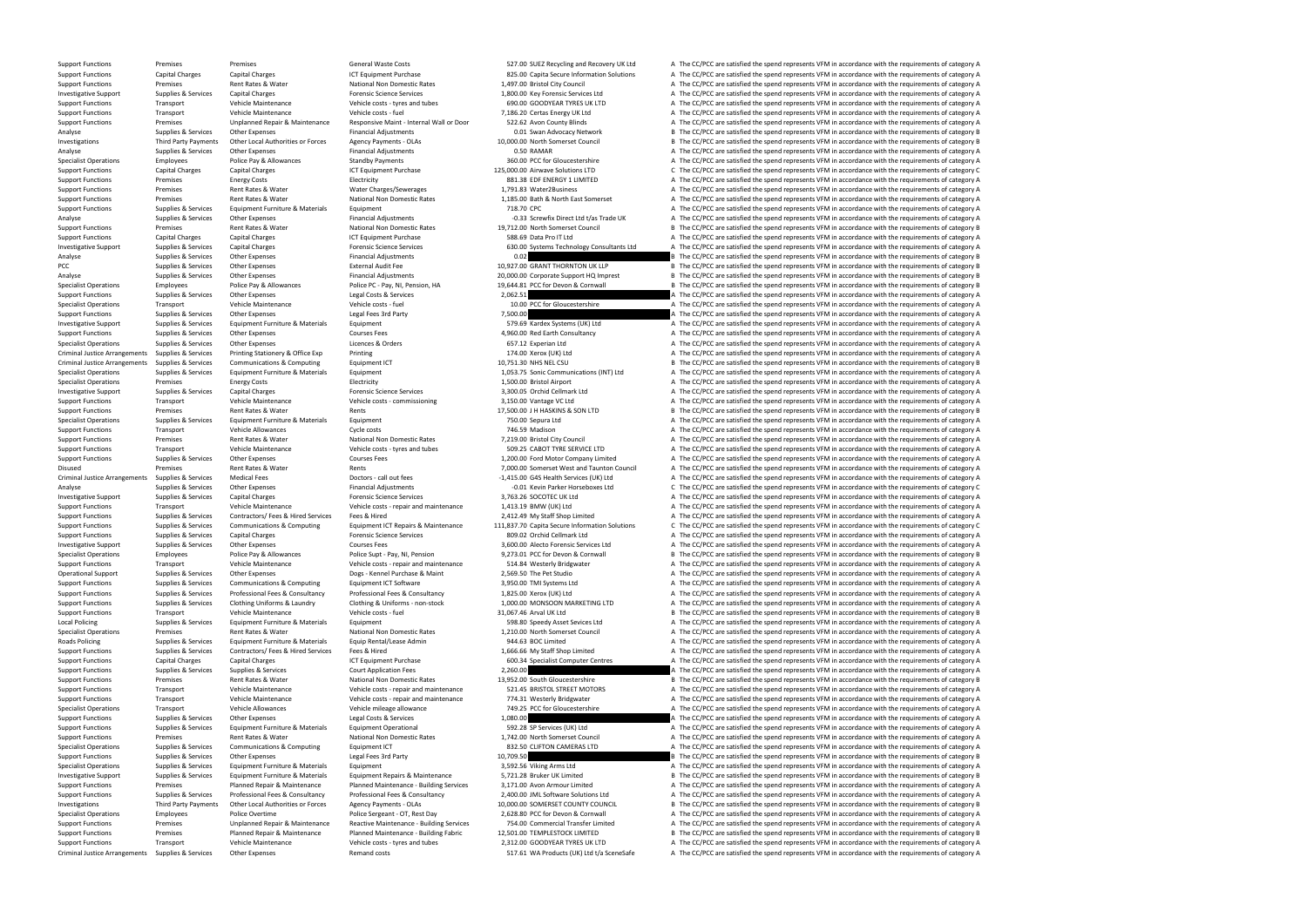Criminal Justice Arrangements Supplies & Services Other Expenses Remand costs Remand costs States of category A The CC/PCC are satisfied the spend represents VFM in accordance with the requirements of category A

Support Functions Premises Premises Premises Support Functions General Waste Costs General Waste Costs S27.00 SUEZ Recycling and Recovery UK Ltd A The CC/PCC are satisfied the spend represents VFM in accordance with the re Support Functions Capital Charges Capital Charges Capital Charges ICT Equipment Purchase 825.00 Capita Secure Information Solutions A The CC/PCC are satisfied the spend represents VFM in accordance with the requirements of Support Functions Premises Rent Rates & Water National Non Domestic Rates 1,497.00 Bristol City Council A The CC/PCC are satisfied the spend represents VFM in accordance with the requirements of category A Investigative Support Supplies & Services Capital Charges Forensic Science Services 1,800.00 Key Forensic Services 1,800.00 Key Forensic Services Ltd A The CC/PCC are satisfied the spend represents VFM in accordance with t Support Functions Transport Vehicle Maintenance Vehicle costs - tyres and tubes 690.00 GOODYEAR TYRES UK LTD A The CC/PCC are satisfied the spend represents VFM in accordance with the requirements of category A Support Functions Transport Vehicle Maintenance Vehicle costs - fuel 7.186.20 Certas Energy UK Ltd A The CC/PCC are satisfied the spend represents VFM in accordance with the requirements of category A Support Functions Termises Premises Unplanned Repair & Maintenance Responsive Maint - Internal Wall or Door 522.62 Avon County Blinds A The CC/PCC are satisfied the spend represents VFM in accordance with the requirements Analyse Supplies & Services Other Expenses Supplies Services Other Expenses Financial Adjustments Adjustments 10.000.00 North Somerset Council B The CC/PCC are satisfied the spend represents VFM in accordance with the requ Investigations Third Party Payments Other Local Authorities or Forces Agency Payments - OLAs 10,000.00 North Somerset Council Bay and the CC/PCC are satisfied the spend represents VFM in accordance with the requirements of Analyse Supplies & Services Other Expenses Financial Adjustments 0.50 RAMAR analyse A The CC/PCC are satisfied the spend represents VFM in accordance with the requirements of category A Services police Pay & Allowances Sta Employees Police Pay & Allowances Standby Payments Standby Payments 360.00 PCC for Gloucestershire A The CC/PCC are satisfied the spend represents VFM in accordance with the requirements of category A Support Functions Capital Charges Capital Charges Capital Charges ICT Equipment Purchase ICT Equipment Purchase 125,000.00 Airwave Solutions LTD C The CC/PCC are satisfied the spend represents VFM in accordance with the re Support Functions Premises Energy Costs Electricity Electricity Electricity B81.38 EDF ENERGY 1 LIMITED A The CC/PCC are satisfied the spend represents VFM in accordance with the requirements of category A Support Functions Premises Rent Rates & Water Water WaterCharges/Sewerages 1,791.83 Water2Business A The CC/PCC are satisfied the spend represents VFM in accordance with the requirements of category A Support Functions Premises Rent Rates And Rates Rent Rates National Non Domestic Rates 1,185.00 Bath & North East Somerset A The CC/PCC are satisfied the spend represents VFM in accordance with the requirements of category Support Functions Supplies & Services Equipment Furniture & Materials Equipment Equipment Equipment Equipment Equipment Functions and the CO/PC are satisfied the spend represents VFM in accordance with the requirements of Analyse Supplies & Services Other Expenses Cover Financial Adjustments Financial Adjustments -0.33 Screwfix Direct Ltd t/as Trade UK A The CC/PCC are satisfied the spend represents VFM in accordance with the requirements o Support Functions Premises Premises Rent Rates Rater National Non Domestic Rates 19,712.00 North Somerset Council B The CC/PCC are satisfied the spend represents VFM in accordance with the requirements of category B Suppor Support Functions Capital Charges Capital Charges Capital Charges ICT Equipment Purchase ICT Equipment Purchase 588.69 Data Pro IT Ltd A The CC/PCC are satisfied the spend represents VFM in accordance with the requirements Investigative Support Supplies & Services Capital Charges Capital Charges Forensic Science Services Forensic Science Services 630.00 Systems Technology Consultants Ltd A The CC/PCC are satisfied the spend represents VFM in Analyse Supplies & Services Other Expenses Financial Adjustments 0.02 B The CC/PCC are satisfied the spend represents VFM in accordance with the requirements of category B PCC Supplies & Services Other Expenses External Audit Fee 10,927.00 GRANT THORNTON UK LLP B The CC/PCC are satisfied the spend represents VFM in accordance with the requirements of category B Analyse Supplies & Services Other Expenses Financial Adjustments Financial Adjustments 20,000.00 Corporate Support HQ Imprest B The CC/PCC are satisfied the spend represents VFM in accordance with the requirements of categ Specialist Operations Employees Employees Police Pay & Allowances Police PC - Pay, NI, Pension, HA 19,644.81 PCC for Devon & Cornwall Bank CO/PCC are satisfied the spend represents VFM in accordance with the requirements o Support Functions Supplies & Services Other Expenses Legal Costs & Services 2,062.51 A The CC/PCC are satisfied the spend represents VFM in accordance with the requirements of category A Service Support Functions and the r Transport Vehicle Maintenance Vehicle costs - fuel 10.00 PCC for Gloucestershire A The CC/PCC are satisfied the spend represents VFM in accordance with the requirements of category A Support Functions Supplies & Services Other Expenses Legal Fees 3rd Party 1,500.00 Tegal Fees 2rd Party 1,500.00 A The CC/PCC are satisfied the spend represents VFM in accordance with the requirements of category A The Cri Investigative Support Supplies & Services Equipment Furniture & Materials Equipment Equipment 579.69 Kardex Systems (UK) Ltd A The CC/PCC are satisfied the spend represents VFM in accordance with the requirements of catego Support Functions Supplies & Services Other Expenses Courses Fees 4,960.00 Red Earth Consultancy A The CC/PCC are satisfied the spend represents VFM in accordance with the requirements of category A Specialist Operations Supplies & Services Other Expenses Licences & Orders Corders Corders 657.12 Experian Ltd A The CC/PCC are satisfied the spend represents VFM in accordance with the requirements of category A Criminal Justice Arrangements Supplies & Services Printing Stationery & Office Exp Printing 174.00 Xerox (UK) Ltd A The CC/PCC are satisfied the spend represents VFM in accordance with the requirements of category A Criminal Justice Arrangements Supplies & Services Communications & Computing Equipment ICT 10,751.30 NHS NEL CSU B The CC/PCC are satisfied the spend represents VFM in accordance with the requirements of category B Special Specialist Operations Supplies & Services Equipment Furniture & Materials Equipment Equipment Equipment Equipment Equipment Equipment and Equipment 1,053.75 Sonic Communications (INT) Ltd A The CC/PCC are satisfied the spe Specialist Operations Specialist Operations Premises Premises Energy Costs Electricity Electricity 1,500.00 Bristol Airport A The CC/PCC are satisfied the spend represents VFM in accordance with the requirements of categor Investigative Support Supplies & Services Capital Charges Capital Charges Forensic Science Services Forensic Science Services 3,300.05 Orchid Cellmark Ltd A The CC/PCC are satisfied the spend represents VFM in accordance w Support Functions Transport Vehicle Maintenance Vehicle costs - commissioning 3,150.00 Vantage VC Ltd A The CC/PCC are satisfied the spend represents VFM in accordance with the requirements of category A Support Functions Premises Rent Rates & Water Rents Rents Rents Rent Rents 17,500.00 J H HASKINS & SON LTD B The CC/PCC are satisfied the spend represents VFM in accordance with the requirements of category B Specialist Operations Supplies & Services Equipment Furniture & Materials Equipment Equipment 750.00 Sepura Ltd A The CC/PCC are satisfied the spend represents VFM in accordance with the requirements of category A Support Functions Transport Vehicle Allowances Cycle costs Cycle costs 746.59 Madison A The CC/PCC are satisfied the spend represents VFM in accordance with the requirements of category A Support Functions Premises Rent Ra Premises Rent Rates & Water Mational Non Domestic Rates 7,219.00 Bristol City Council A The CC/PCC are satisfied the spend represents VFM in accordance with the requirements of category A Transport Vehicle National Non Dom Support Functions Transport Vehicle Maintenance Vehicle costs - tyres and tubes 509.25 CABOT TYRE SERVICE LTD A The CC/PCC are satisfied the spend represents VFM in accordance with the requirements of category A Support Fu Supplies & Services Other Expenses Support Functions Fees 1,200.00 Ford Motor Company Limited A The CC/PCC are satisfied the spend represents VFM in accordance with the requirements of category A Disused Premises Rent Rates & Water Rents 7,000.00 Somerset West and Taunton Council A The CC/PCC are satisfied the spend represents VFM in accordance with the requirements of category A Criminal Justice Arrangements Supplies & Services Medical Fees Medical Fees Doctors - call out fees Doctors - call out fees 1,415.00 G4S Health Services (UK) Ltd A The CC/PCC are satisfied the spend represents VFM in accor Analyse Supplies & Services Other Expenses Financial Adjustments -0.01 Kevin Parker Horseboxes Ltd C The CC/PCC are satisfied the spend represents VFM in accordance with the requirements of category C Investigative Supplie Investigative Support Supplies & Services Capital Charges Forensic Science Services 3,763.26 SOCOTEC UK Ltd A The CC/PCC are satisfied the spend represents VFM in accordance with the requirements of category A Support Functions Transport Vehicle Maintenance Vehicle costs - repair and maintenance 1,413.19 BMW (UK) Ltd A The CC/PCC are satisfied the spend represents VFM in accordance with the requirements of category A Support Fun Support Functions Supplies & Services Contractors/ Fees & Hired Services Fees & Hired Services Fees & Hired 2,412.49 My Staff Shop Limited A The CC/PCC are satisfied the spend represents VFM in accordance with the requirem Support Functions Supplies & Services Communications & Computing Equipment ICT Repairs & Maintenance 111,837.70 Capita Secure Information Solutions C The CC/PCC are satisfied the spend represents VFM in accordance with the Support Functions Supplies & Services Capital Charges Support Forensic Science Services Forensic Science Services 809.02 Orchid Cellmark Ltd A The CC/PCC are satisfied the spend represents VFM in accordance with the requir Investigative Support Supplies & Services Other Expenses Courses Fees Courses Fees 3,600.00 Alecto Forensic Services Ltd A The CC/PCC are satisfied the spend represents VFM in accordance with the requirements of category A Specialist Operations Employees Police Pay & Allowances Police Supt - Pay, NI, Pension 9,273.01 PCC for Devon & Cornwall B The CC/PCC are satisfied the spend represents VFM in accordance with the requirements of category B Support Functions Transport Vehicle Maintenance Vehicle costs - repair and maintenance 514.84 Westerly Bridgwater A The CC/PCC are satisfied the spend represents VFM in accordance with the requirements of category A Operational Support Supplies & Services Other Expenses Dogs - Kennel Purchase & Maint 2,569.50 The Pet Studio A The CC/PCC are satisfied the spend represents VFM in accordance with the requirements of category A Support Fu Support Functions Supplies & Services Communications & Computing Equipment ICT Software 3,950.00 TMI Systems Ltd A The CC/PCC are satisfied the spend represents VFM in accordance with the requirements of category A The CON Professional Fees & Consultancy 1,825.00 Xerox (UK) Ltd 6 A The CC/PCC are satisfied the spend represents VFM in accordance with the requirements of category A Support Functions Supplies & Services Clothing Uniforms & Laundry Clothing & Uniforms - non-stock 1,000.00 MONSOON MARKETING LTD A The CC/PCC are satisfied the spend represents VFM in accordance with the requirements of ca Support Functions Transport Vehicle Maintenance Vehicle costs - fuel 31,067.46 Arval UK Ltd B The CC/PCC are satisfied the spend represents VFM in accordance with the requirements of category B Local Policing Supplies & Services Equipment Furniture & Materials Equipment Equipment Equipment Equipment Equipment Equipment Equipment Equipment Supplies Equipment Supplies Equipment Supplies Equipment Supplies A The CC/ Premises Premises And Premises Rent Rates Rent Rates National Non Domestic Rates 1,210.00 North Somerset Council A The CC/PCC are satisfied the spend represents VFM in accordance with the requirements of category A Supplie Roads Policing Supplies & Services Equipment Furniture & Materials Equip Rental/Lease Admin 944.63 BOC Limited A The CC/PCC are satisfied the spend represents VFM in accordance with the requirements of category A Support Functions Supplies & Services Contractors/ Fees & Hired Services Fees & Hired 1,666.66 My Staff Shop Limited A The CC/PCC are satisfied the spend represents VFM in accordance with the requirements of category A Support Functions Capital Charges Capital Charges Capital Charges ICT Equipment Purchase 600.34 Specialist Computer Centres A The CC/PCC are satisfied the spend represents VFM in accordance with the requirements of categor Support Functions Supplies & Services Supplies & Services Supplies & Services Court Application Fees Court Application Fees 2,260.00 2,260.00 A The CC/PCC are satisfied the spend represents VFM in accordance with the requi Functions Premises Rent Rates & Water Mational Non Domestic Rates 13,952.00 South Gloucestershire B The CC/PCC are satisfied the spend represents VFM in accordance with the requirements of category B Transport Vehicle Main Support Functions Transport Vehicle Maintenance Vehicle Costs - repair and maintenance 521.45 BRISTOL STREET MOTORS A The CC/PCC are satisfied the spend represents VFM in accordance with the requirements of category A Supp Transport Vehicle Maintenance Vehicle costs - repair and maintenance 774.31 Westerly Bridgwater A The CC/PCC are satisfied the spend represents VFM in accordance with the requirements of category A Specialist Operations Transport Vehicle Allowances Vehicle mileage allowance Vehicle mileage allowance Vehicle mileage allowance a The CC/PCC are satisfied the spend represents VFM in accordance with the requirements of ca Support Functions Supplies & Services Other Expenses Legal Costs & Services 1,080.00 A The CC/PCC are satisfied the spend represents VFM in accordance with the requirements of category A Support Functions Supplies & Services Equipment Furniture & Materials Equipment Operational 592.28 SP Services (UK) Ltd A The CC/PCC are satisfied the spend represents VFM in accordance with the requirements of category A Support Functions Premises Rent Rates & Water National Non Domestic Rates 1,742.00 North Somerset Council A The CC/PCC are satisfied the spend represents VFM in accordance with the requirements of category A Specialist Operations Supplies & Services Communications & Computing Equipment ICT 832.50 CLIFTON CAMERAS LTD A The CC/PCC are satisfied the spend represents VFM in accordance with the requirements of category A Support Functions Supplies & Services Other Expenses Legal Fees 3rd Party 10,709.50 B The CC/PCC are satisfied the spend represents VFM in accordance with the requirements of category B Specialist Operations Supplies & Services Equipment Furniture & Materials Equipment A The Supplies A The CC/PCC are satisfied the spend represents VFM in accordance with the requirements of category A The Supplies & Suppli Investigative Support Support Supplies & Services Equipment Furniture & Materials Equipment Repairs & Maintenance 5,721.28 Bruker UK Limited BThe CC/PCC are satisfied the spend represents VFM in accordance with the require Planned Repair & Maintenance Maintenance - Building Services 3,171.00 Avon Armour Limited A The CC/PCC are satisfied the spend represents VFM in accordance with the requirements of category A Support Functions Supplies & Services Professional Fees & Consultancy Professional Fees & Consultancy Professional Fees & Consultancy Professional Fees & Consultancy 2,400.00 JML Software Solutions Ltd A The CC/PCC are sat Investigations Third Party Payments Other Local Authorities or Forces Agency Payments - OLAS 10,000.00 SOMERSET COUNTY COUNCIL BE The CC/PCC are satisfied the spend represents VFM in accordance with the requirements of cat Specialist Operations Employees Police Overtime Police Overtime Police Sergeant - OT, Rest Day 2,628.80 PCC for Devon & Cornwall A The CC/PCC are satisfied the spend represents VFM in accordance with the requirements of ca Support Functions Support Functions Premises Premises Unplanned Repair & Maintenance Reactive Maintenance - Building Services 754.00 Commercial Transfer Limited A The CC/PCC are satisfied the spend represents VFM in accord Planned Repair & Maintenance Maintenance - Building Fabric 12,501.00 TEMPLESTOCK LIMITED B The CC/PCC are satisfied the spend represents VFM in accordance with the requirements of category B<br>Transport Vehicle Maintenance V Support Functions Transport Vehicle Maintenance Vehicle costs - tyres and tubes 2,312.00 GOODYEAR TYRES UK LTD A The CC/PCC are satisfied the spend represents VFM in accordance with the requirements of category A